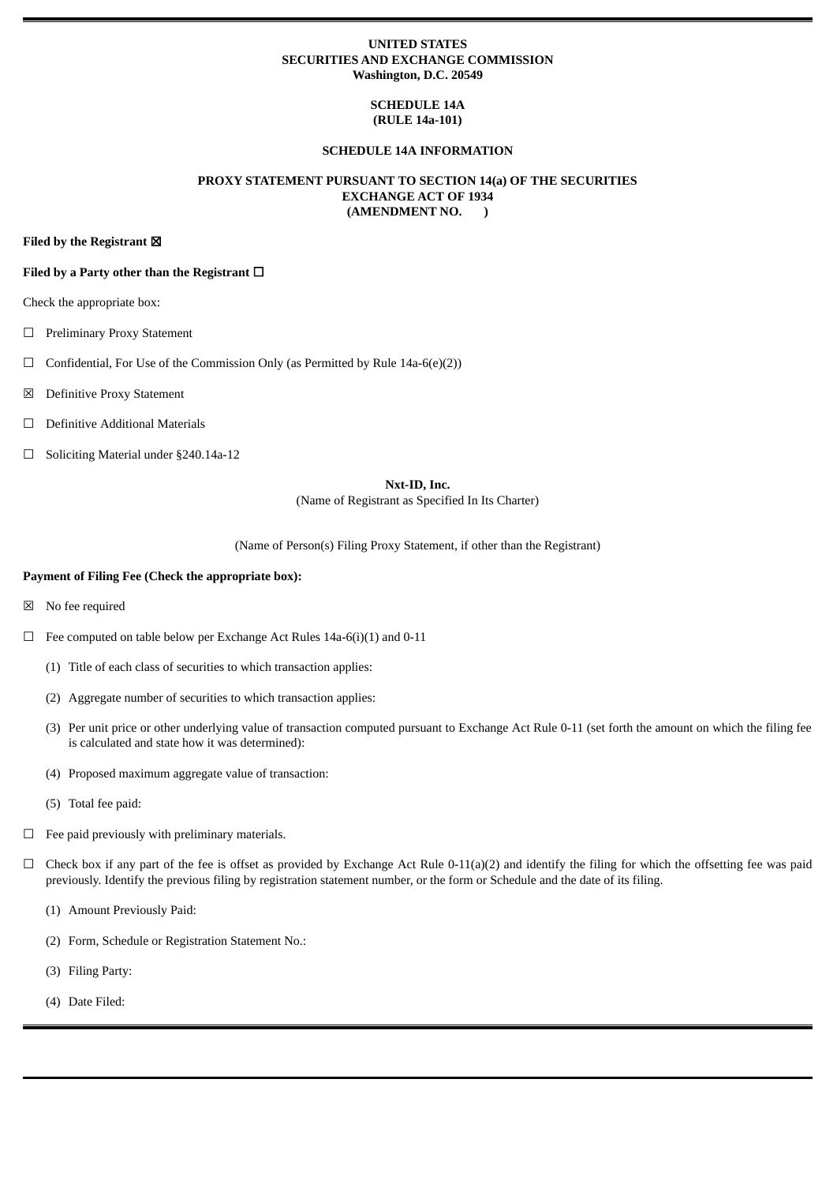### **UNITED STATES SECURITIES AND EXCHANGE COMMISSION Washington, D.C. 20549**

# **SCHEDULE 14A (RULE 14a-101)**

### **SCHEDULE 14A INFORMATION**

### **PROXY STATEMENT PURSUANT TO SECTION 14(a) OF THE SECURITIES EXCHANGE ACT OF 1934 (AMENDMENT NO. )**

**Filed by the Registrant** ☒

#### **Filed by a Party other than the Registrant** ☐

Check the appropriate box:

- ☐ Preliminary Proxy Statement
- $\Box$  Confidential, For Use of the Commission Only (as Permitted by Rule 14a-6(e)(2))
- ☒ Definitive Proxy Statement
- ☐ Definitive Additional Materials
- ☐ Soliciting Material under §240.14a-12

### **Nxt-ID, Inc.**

(Name of Registrant as Specified In Its Charter)

(Name of Person(s) Filing Proxy Statement, if other than the Registrant)

#### **Payment of Filing Fee (Check the appropriate box):**

- ☒ No fee required
- $\Box$  Fee computed on table below per Exchange Act Rules 14a-6(i)(1) and 0-11
	- (1) Title of each class of securities to which transaction applies:
	- (2) Aggregate number of securities to which transaction applies:
	- (3) Per unit price or other underlying value of transaction computed pursuant to Exchange Act Rule 0-11 (set forth the amount on which the filing fee is calculated and state how it was determined):
	- (4) Proposed maximum aggregate value of transaction:
	- (5) Total fee paid:
- $\Box$  Fee paid previously with preliminary materials.
- $\Box$  Check box if any part of the fee is offset as provided by Exchange Act Rule 0-11(a)(2) and identify the filing for which the offsetting fee was paid previously. Identify the previous filing by registration statement number, or the form or Schedule and the date of its filing.
	- (1) Amount Previously Paid:
	- (2) Form, Schedule or Registration Statement No.:
	- (3) Filing Party:
	- (4) Date Filed: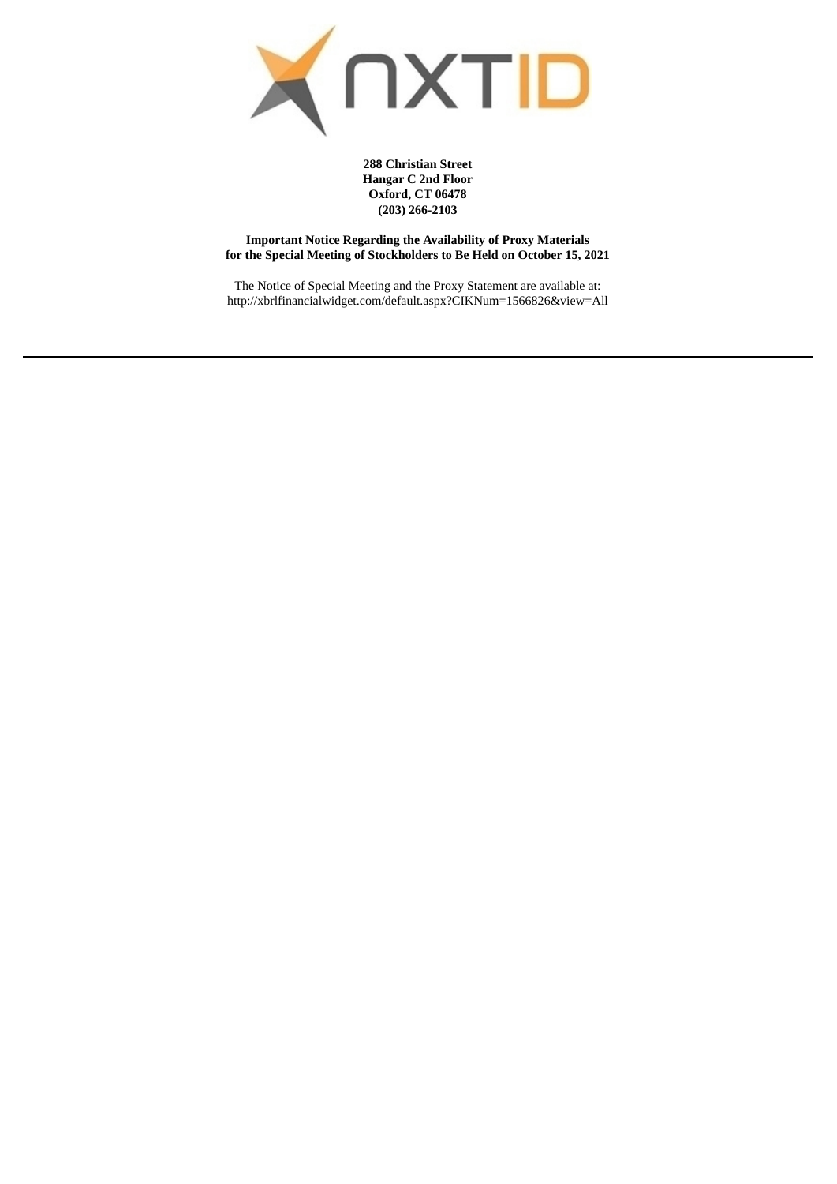

**288 Christian Street Hangar C 2nd Floor Oxford, CT 06478 (203) 266-2103**

**Important Notice Regarding the Availability of Proxy Materials for the Special Meeting of Stockholders to Be Held on October 15, 2021**

The Notice of Special Meeting and the Proxy Statement are available at: http://xbrlfinancialwidget.com/default.aspx?CIKNum=1566826&view=All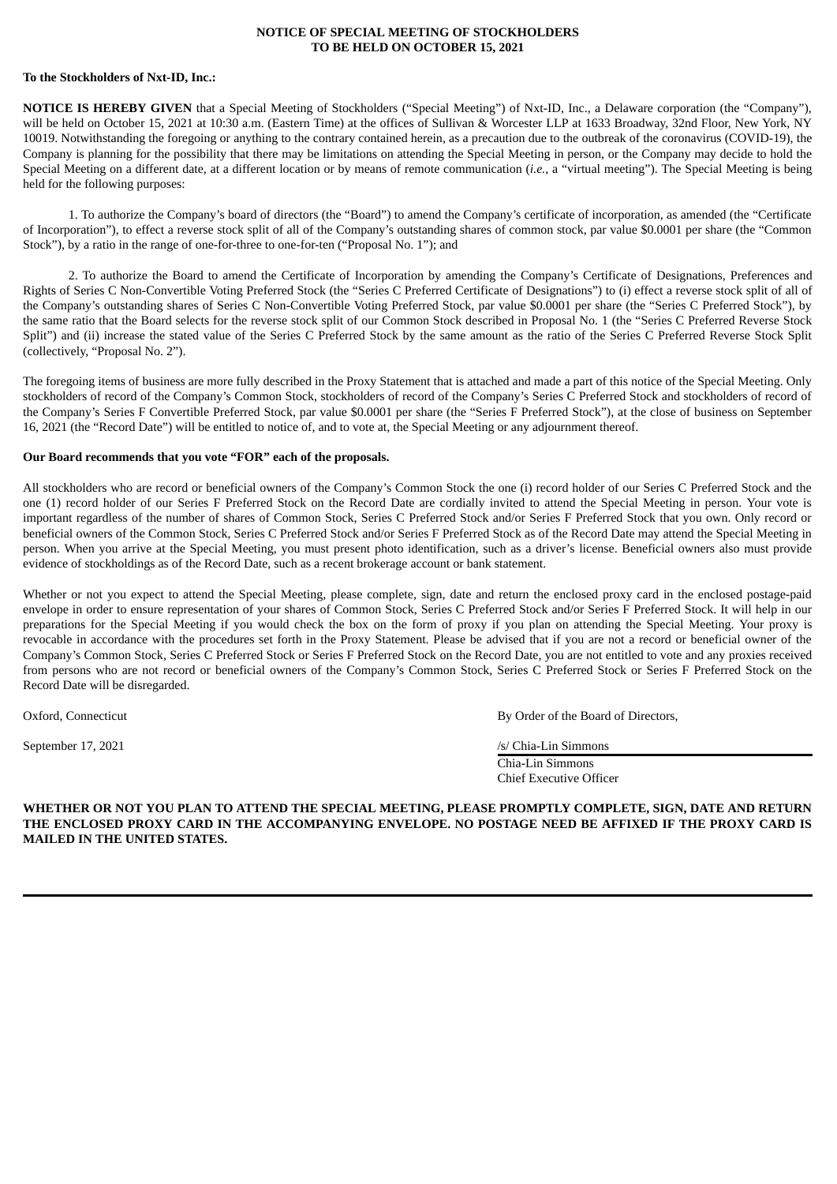### **NOTICE OF SPECIAL MEETING OF STOCKHOLDERS TO BE HELD ON OCTOBER 15, 2021**

#### **To the Stockholders of Nxt-ID, Inc.:**

**NOTICE IS HEREBY GIVEN** that a Special Meeting of Stockholders ("Special Meeting") of Nxt-ID, Inc., a Delaware corporation (the "Company"), will be held on October 15, 2021 at 10:30 a.m. (Eastern Time) at the offices of Sullivan & Worcester LLP at 1633 Broadway, 32nd Floor, New York, NY 10019. Notwithstanding the foregoing or anything to the contrary contained herein, as a precaution due to the outbreak of the coronavirus (COVID-19), the Company is planning for the possibility that there may be limitations on attending the Special Meeting in person, or the Company may decide to hold the Special Meeting on a different date, at a different location or by means of remote communication (*i.e.*, a "virtual meeting"). The Special Meeting is being held for the following purposes:

1. To authorize the Company's board of directors (the "Board") to amend the Company's certificate of incorporation, as amended (the "Certificate of Incorporation"), to effect a reverse stock split of all of the Company's outstanding shares of common stock, par value \$0.0001 per share (the "Common Stock"), by a ratio in the range of one-for-three to one-for-ten ("Proposal No. 1"); and

2. To authorize the Board to amend the Certificate of Incorporation by amending the Company's Certificate of Designations, Preferences and Rights of Series C Non-Convertible Voting Preferred Stock (the "Series C Preferred Certificate of Designations") to (i) effect a reverse stock split of all of the Company's outstanding shares of Series C Non-Convertible Voting Preferred Stock, par value \$0.0001 per share (the "Series C Preferred Stock"), by the same ratio that the Board selects for the reverse stock split of our Common Stock described in Proposal No. 1 (the "Series C Preferred Reverse Stock Split") and (ii) increase the stated value of the Series C Preferred Stock by the same amount as the ratio of the Series C Preferred Reverse Stock Split (collectively, "Proposal No. 2").

The foregoing items of business are more fully described in the Proxy Statement that is attached and made a part of this notice of the Special Meeting. Only stockholders of record of the Company's Common Stock, stockholders of record of the Company's Series C Preferred Stock and stockholders of record of the Company's Series F Convertible Preferred Stock, par value \$0.0001 per share (the "Series F Preferred Stock"), at the close of business on September 16, 2021 (the "Record Date") will be entitled to notice of, and to vote at, the Special Meeting or any adjournment thereof.

#### **Our Board recommends that you vote "FOR" each of the proposals.**

All stockholders who are record or beneficial owners of the Company's Common Stock the one (i) record holder of our Series C Preferred Stock and the one (1) record holder of our Series F Preferred Stock on the Record Date are cordially invited to attend the Special Meeting in person. Your vote is important regardless of the number of shares of Common Stock, Series C Preferred Stock and/or Series F Preferred Stock that you own. Only record or beneficial owners of the Common Stock, Series C Preferred Stock and/or Series F Preferred Stock as of the Record Date may attend the Special Meeting in person. When you arrive at the Special Meeting, you must present photo identification, such as a driver's license. Beneficial owners also must provide evidence of stockholdings as of the Record Date, such as a recent brokerage account or bank statement.

Whether or not you expect to attend the Special Meeting, please complete, sign, date and return the enclosed proxy card in the enclosed postage-paid envelope in order to ensure representation of your shares of Common Stock, Series C Preferred Stock and/or Series F Preferred Stock. It will help in our preparations for the Special Meeting if you would check the box on the form of proxy if you plan on attending the Special Meeting. Your proxy is revocable in accordance with the procedures set forth in the Proxy Statement. Please be advised that if you are not a record or beneficial owner of the Company's Common Stock, Series C Preferred Stock or Series F Preferred Stock on the Record Date, you are not entitled to vote and any proxies received from persons who are not record or beneficial owners of the Company's Common Stock, Series C Preferred Stock or Series F Preferred Stock on the Record Date will be disregarded.

Oxford, Connecticut By Order of the Board of Directors,

September 17, 2021 /s/ Chia-Lin Simmons

Chia-Lin Simmons Chief Executive Officer

**WHETHER OR NOT YOU PLAN TO ATTEND THE SPECIAL MEETING, PLEASE PROMPTLY COMPLETE, SIGN, DATE AND RETURN** THE ENCLOSED PROXY CARD IN THE ACCOMPANYING ENVELOPE. NO POSTAGE NEED BE AFFIXED IF THE PROXY CARD IS **MAILED IN THE UNITED STATES.**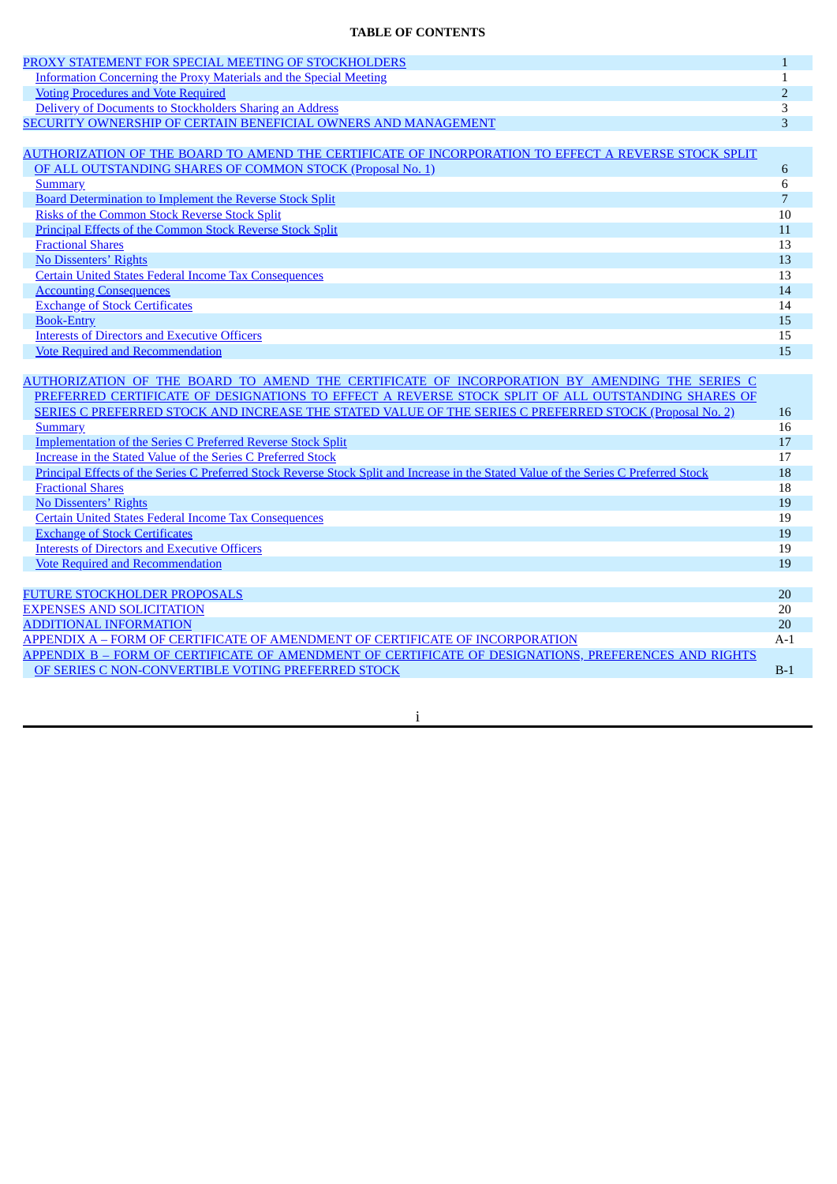# **TABLE OF CONTENTS**

| TABLE OF CONTENTS                                                                                                                      |                |
|----------------------------------------------------------------------------------------------------------------------------------------|----------------|
| PROXY STATEMENT FOR SPECIAL MEETING OF STOCKHOLDERS                                                                                    | $\mathbf{1}$   |
| <b>Information Concerning the Proxy Materials and the Special Meeting</b>                                                              | $\mathbf{1}$   |
| <b>Voting Procedures and Vote Required</b>                                                                                             | $\overline{2}$ |
| Delivery of Documents to Stockholders Sharing an Address                                                                               | 3              |
| SECURITY OWNERSHIP OF CERTAIN BENEFICIAL OWNERS AND MANAGEMENT                                                                         | 3              |
| AUTHORIZATION OF THE BOARD TO AMEND THE CERTIFICATE OF INCORPORATION TO EFFECT A REVERSE STOCK SPLIT                                   |                |
| OF ALL OUTSTANDING SHARES OF COMMON STOCK (Proposal No. 1)                                                                             | 6              |
|                                                                                                                                        | 6              |
| <b>Summary</b>                                                                                                                         | $\overline{7}$ |
| <b>Board Determination to Implement the Reverse Stock Split</b><br><b>Risks of the Common Stock Reverse Stock Split</b>                | 10             |
|                                                                                                                                        |                |
| <b>Principal Effects of the Common Stock Reverse Stock Split</b>                                                                       | 11<br>13       |
| <b>Fractional Shares</b>                                                                                                               |                |
| No Dissenters' Rights                                                                                                                  | 13             |
| <b>Certain United States Federal Income Tax Consequences</b>                                                                           | 13             |
| <b>Accounting Consequences</b>                                                                                                         | 14             |
| <b>Exchange of Stock Certificates</b>                                                                                                  | 14             |
| <b>Book-Entry</b>                                                                                                                      | 15             |
| <b>Interests of Directors and Executive Officers</b>                                                                                   | 15             |
| <b>Vote Required and Recommendation</b>                                                                                                | 15             |
|                                                                                                                                        |                |
| AUTHORIZATION OF THE BOARD TO AMEND THE CERTIFICATE OF INCORPORATION BY AMENDING THE SERIES C                                          |                |
| PREFERRED CERTIFICATE OF DESIGNATIONS TO EFFECT A REVERSE STOCK SPLIT OF ALL OUTSTANDING SHARES OF                                     |                |
| SERIES C PREFERRED STOCK AND INCREASE THE STATED VALUE OF THE SERIES C PREFERRED STOCK (Proposal No. 2)                                | 16             |
| <b>Summary</b>                                                                                                                         | 16             |
| <b>Implementation of the Series C Preferred Reverse Stock Split</b>                                                                    | 17             |
| Increase in the Stated Value of the Series C Preferred Stock                                                                           | 17             |
| Principal Effects of the Series C Preferred Stock Reverse Stock Split and Increase in the Stated Value of the Series C Preferred Stock | 18             |
| <b>Fractional Shares</b>                                                                                                               | 18             |
| No Dissenters' Rights                                                                                                                  | 19             |
| <b>Certain United States Federal Income Tax Consequences</b>                                                                           | 19             |
| <b>Exchange of Stock Certificates</b>                                                                                                  | 19             |
| <b>Interests of Directors and Executive Officers</b>                                                                                   | 19             |
| <b>Vote Required and Recommendation</b>                                                                                                | 19             |
| <b>FUTURE STOCKHOLDER PROPOSALS</b>                                                                                                    | 20             |
| <b>EXPENSES AND SOLICITATION</b>                                                                                                       | 20             |
| <b>ADDITIONAL INFORMATION</b>                                                                                                          | 20             |
| APPENDIX A - FORM OF CERTIFICATE OF AMENDMENT OF CERTIFICATE OF INCORPORATION                                                          | $A-1$          |
| APPENDIX B - FORM OF CERTIFICATE OF AMENDMENT OF CERTIFICATE OF DESIGNATIONS, PREFERENCES AND RIGHTS                                   |                |
| OF SERIES C NON-CONVERTIBLE VOTING PREFERRED STOCK                                                                                     | $B-1$          |
|                                                                                                                                        |                |

i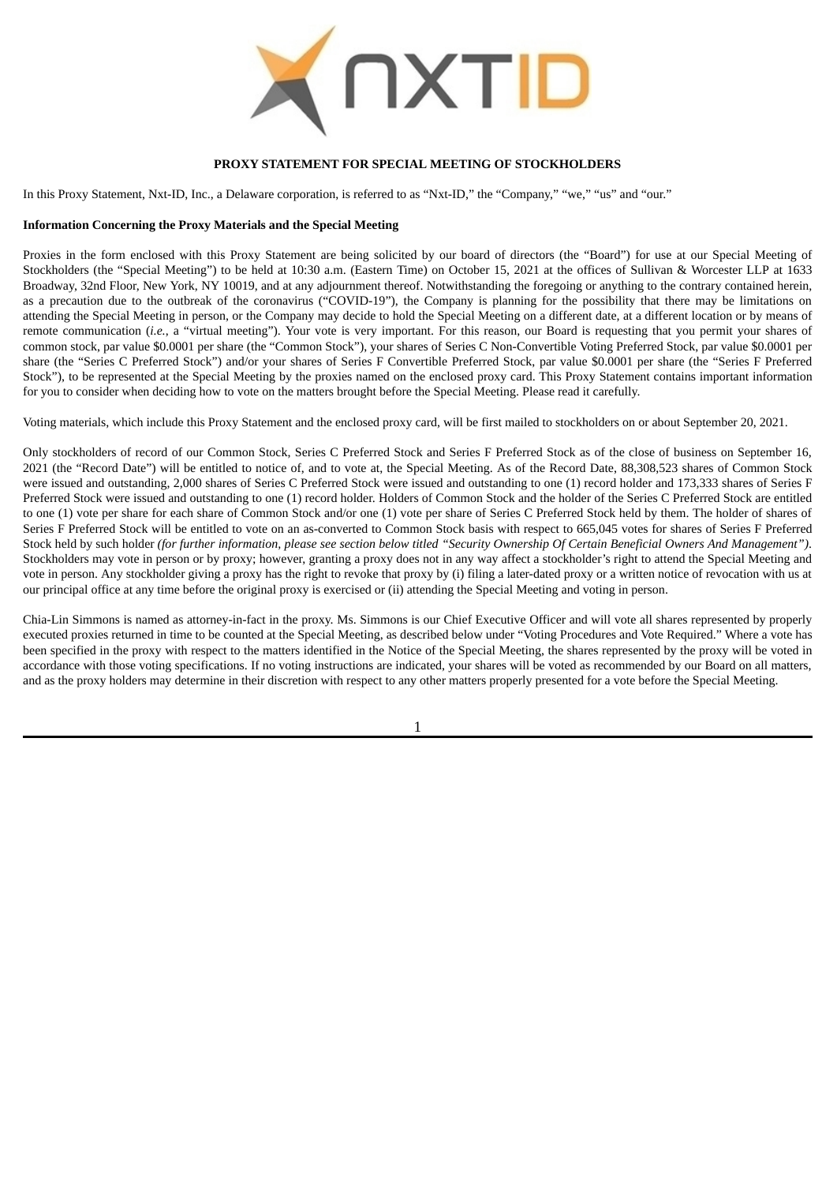

#### **PROXY STATEMENT FOR SPECIAL MEETING OF STOCKHOLDERS**

<span id="page-4-0"></span>In this Proxy Statement, Nxt-ID, Inc., a Delaware corporation, is referred to as "Nxt-ID," the "Company," "we," "us" and "our."

#### <span id="page-4-1"></span>**Information Concerning the Proxy Materials and the Special Meeting**

Proxies in the form enclosed with this Proxy Statement are being solicited by our board of directors (the "Board") for use at our Special Meeting of Stockholders (the "Special Meeting") to be held at 10:30 a.m. (Eastern Time) on October 15, 2021 at the offices of Sullivan & Worcester LLP at 1633 Broadway, 32nd Floor, New York, NY 10019, and at any adjournment thereof. Notwithstanding the foregoing or anything to the contrary contained herein, as a precaution due to the outbreak of the coronavirus ("COVID-19"), the Company is planning for the possibility that there may be limitations on attending the Special Meeting in person, or the Company may decide to hold the Special Meeting on a different date, at a different location or by means of remote communication (*i.e.*, a "virtual meeting"). Your vote is very important. For this reason, our Board is requesting that you permit your shares of common stock, par value \$0.0001 per share (the "Common Stock"), your shares of Series C Non-Convertible Voting Preferred Stock, par value \$0.0001 per share (the "Series C Preferred Stock") and/or your shares of Series F Convertible Preferred Stock, par value \$0.0001 per share (the "Series F Preferred Stock"), to be represented at the Special Meeting by the proxies named on the enclosed proxy card. This Proxy Statement contains important information for you to consider when deciding how to vote on the matters brought before the Special Meeting. Please read it carefully.

Voting materials, which include this Proxy Statement and the enclosed proxy card, will be first mailed to stockholders on or about September 20, 2021.

Only stockholders of record of our Common Stock, Series C Preferred Stock and Series F Preferred Stock as of the close of business on September 16, 2021 (the "Record Date") will be entitled to notice of, and to vote at, the Special Meeting. As of the Record Date, 88,308,523 shares of Common Stock were issued and outstanding, 2,000 shares of Series C Preferred Stock were issued and outstanding to one (1) record holder and 173,333 shares of Series F Preferred Stock were issued and outstanding to one (1) record holder. Holders of Common Stock and the holder of the Series C Preferred Stock are entitled to one (1) vote per share for each share of Common Stock and/or one (1) vote per share of Series C Preferred Stock held by them. The holder of shares of Series F Preferred Stock will be entitled to vote on an as-converted to Common Stock basis with respect to 665,045 votes for shares of Series F Preferred Stock held by such holder (for further information, please see section below titled "Security Ownership Of Certain Beneficial Owners And Management"). Stockholders may vote in person or by proxy; however, granting a proxy does not in any way affect a stockholder's right to attend the Special Meeting and vote in person. Any stockholder giving a proxy has the right to revoke that proxy by (i) filing a later-dated proxy or a written notice of revocation with us at our principal office at any time before the original proxy is exercised or (ii) attending the Special Meeting and voting in person.

Chia-Lin Simmons is named as attorney-in-fact in the proxy. Ms. Simmons is our Chief Executive Officer and will vote all shares represented by properly executed proxies returned in time to be counted at the Special Meeting, as described below under "Voting Procedures and Vote Required." Where a vote has been specified in the proxy with respect to the matters identified in the Notice of the Special Meeting, the shares represented by the proxy will be voted in accordance with those voting specifications. If no voting instructions are indicated, your shares will be voted as recommended by our Board on all matters, and as the proxy holders may determine in their discretion with respect to any other matters properly presented for a vote before the Special Meeting.

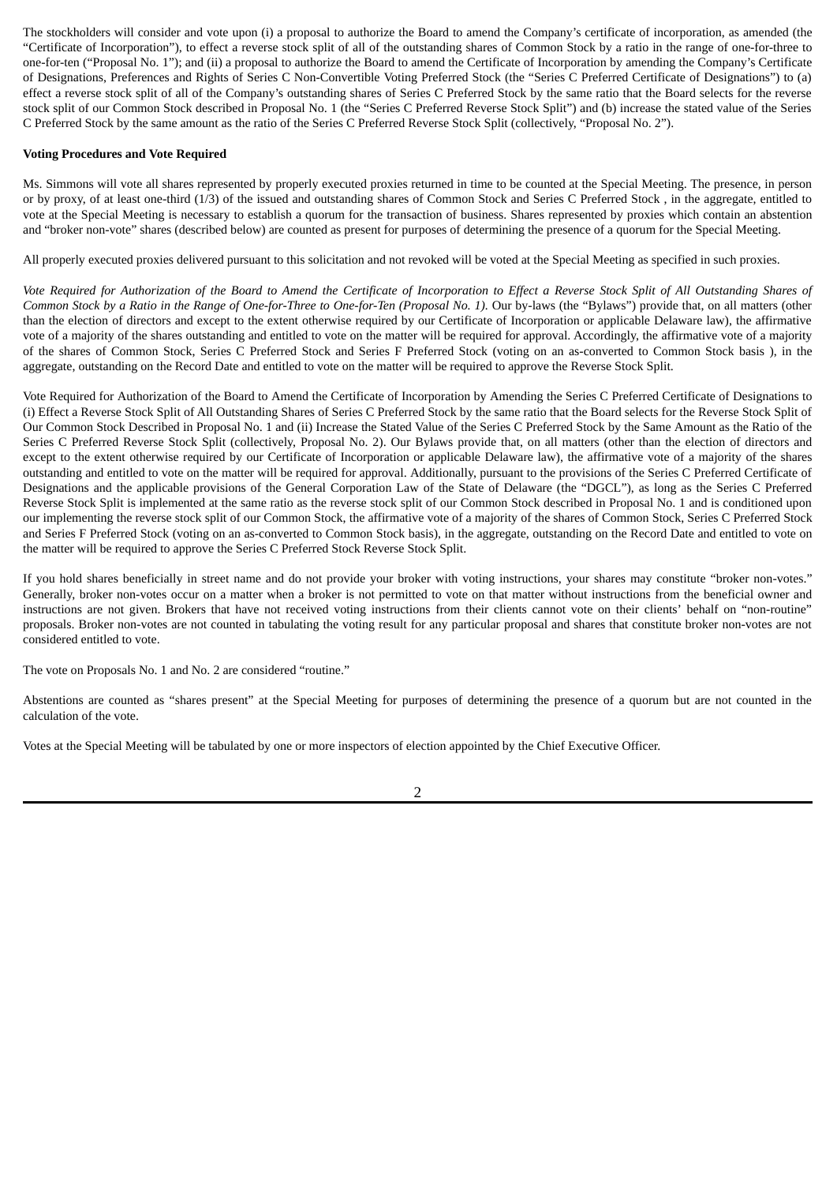The stockholders will consider and vote upon (i) a proposal to authorize the Board to amend the Company's certificate of incorporation, as amended (the "Certificate of Incorporation"), to effect a reverse stock split of all of the outstanding shares of Common Stock by a ratio in the range of one-for-three to one-for-ten ("Proposal No. 1"); and (ii) a proposal to authorize the Board to amend the Certificate of Incorporation by amending the Company's Certificate of Designations, Preferences and Rights of Series C Non-Convertible Voting Preferred Stock (the "Series C Preferred Certificate of Designations") to (a) effect a reverse stock split of all of the Company's outstanding shares of Series C Preferred Stock by the same ratio that the Board selects for the reverse stock split of our Common Stock described in Proposal No. 1 (the "Series C Preferred Reverse Stock Split") and (b) increase the stated value of the Series C Preferred Stock by the same amount as the ratio of the Series C Preferred Reverse Stock Split (collectively, "Proposal No. 2").

### <span id="page-5-0"></span>**Voting Procedures and Vote Required**

Ms. Simmons will vote all shares represented by properly executed proxies returned in time to be counted at the Special Meeting. The presence, in person or by proxy, of at least one-third (1/3) of the issued and outstanding shares of Common Stock and Series C Preferred Stock , in the aggregate, entitled to vote at the Special Meeting is necessary to establish a quorum for the transaction of business. Shares represented by proxies which contain an abstention and "broker non-vote" shares (described below) are counted as present for purposes of determining the presence of a quorum for the Special Meeting.

All properly executed proxies delivered pursuant to this solicitation and not revoked will be voted at the Special Meeting as specified in such proxies.

Vote Required for Authorization of the Board to Amend the Certificate of Incorporation to Effect a Reverse Stock Split of All Outstanding Shares of Common Stock by a Ratio in the Range of One-for-Three to One-for-Ten (Proposal No. 1). Our by-laws (the "Bylaws") provide that, on all matters (other than the election of directors and except to the extent otherwise required by our Certificate of Incorporation or applicable Delaware law), the affirmative vote of a majority of the shares outstanding and entitled to vote on the matter will be required for approval. Accordingly, the affirmative vote of a majority of the shares of Common Stock, Series C Preferred Stock and Series F Preferred Stock (voting on an as-converted to Common Stock basis ), in the aggregate, outstanding on the Record Date and entitled to vote on the matter will be required to approve the Reverse Stock Split.

Vote Required for Authorization of the Board to Amend the Certificate of Incorporation by Amending the Series C Preferred Certificate of Designations to (i) Effect a Reverse Stock Split of All Outstanding Shares of Series C Preferred Stock by the same ratio that the Board selects for the Reverse Stock Split of Our Common Stock Described in Proposal No. 1 and (ii) Increase the Stated Value of the Series C Preferred Stock by the Same Amount as the Ratio of the Series C Preferred Reverse Stock Split (collectively, Proposal No. 2). Our Bylaws provide that, on all matters (other than the election of directors and except to the extent otherwise required by our Certificate of Incorporation or applicable Delaware law), the affirmative vote of a majority of the shares outstanding and entitled to vote on the matter will be required for approval. Additionally, pursuant to the provisions of the Series C Preferred Certificate of Designations and the applicable provisions of the General Corporation Law of the State of Delaware (the "DGCL"), as long as the Series C Preferred Reverse Stock Split is implemented at the same ratio as the reverse stock split of our Common Stock described in Proposal No. 1 and is conditioned upon our implementing the reverse stock split of our Common Stock, the affirmative vote of a majority of the shares of Common Stock, Series C Preferred Stock and Series F Preferred Stock (voting on an as-converted to Common Stock basis), in the aggregate, outstanding on the Record Date and entitled to vote on the matter will be required to approve the Series C Preferred Stock Reverse Stock Split.

If you hold shares beneficially in street name and do not provide your broker with voting instructions, your shares may constitute "broker non-votes." Generally, broker non-votes occur on a matter when a broker is not permitted to vote on that matter without instructions from the beneficial owner and instructions are not given. Brokers that have not received voting instructions from their clients cannot vote on their clients' behalf on "non-routine" proposals. Broker non-votes are not counted in tabulating the voting result for any particular proposal and shares that constitute broker non-votes are not considered entitled to vote.

The vote on Proposals No. 1 and No. 2 are considered "routine."

Abstentions are counted as "shares present" at the Special Meeting for purposes of determining the presence of a quorum but are not counted in the calculation of the vote.

Votes at the Special Meeting will be tabulated by one or more inspectors of election appointed by the Chief Executive Officer.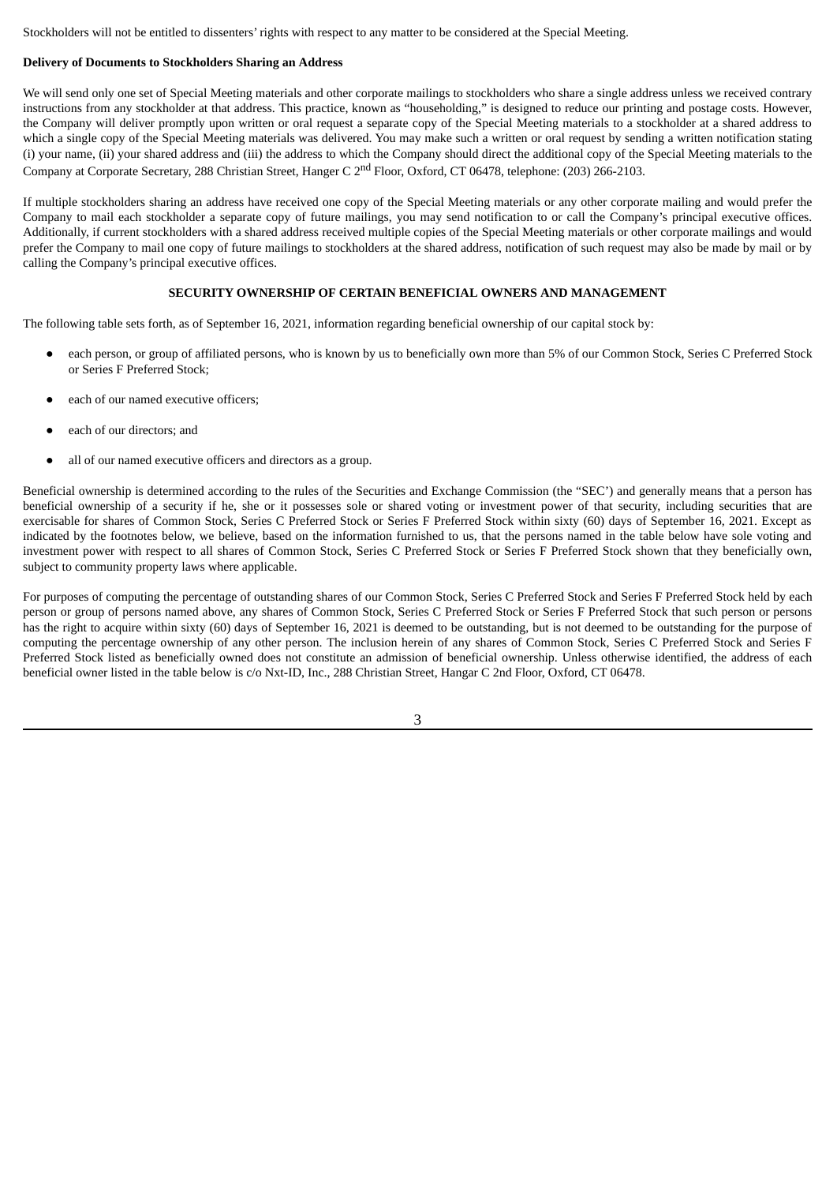Stockholders will not be entitled to dissenters' rights with respect to any matter to be considered at the Special Meeting.

### <span id="page-6-0"></span>**Delivery of Documents to Stockholders Sharing an Address**

We will send only one set of Special Meeting materials and other corporate mailings to stockholders who share a single address unless we received contrary instructions from any stockholder at that address. This practice, known as "householding," is designed to reduce our printing and postage costs. However, the Company will deliver promptly upon written or oral request a separate copy of the Special Meeting materials to a stockholder at a shared address to which a single copy of the Special Meeting materials was delivered. You may make such a written or oral request by sending a written notification stating (i) your name, (ii) your shared address and (iii) the address to which the Company should direct the additional copy of the Special Meeting materials to the Company at Corporate Secretary, 288 Christian Street, Hanger C 2<sup>nd</sup> Floor, Oxford, CT 06478, telephone: (203) 266-2103.

If multiple stockholders sharing an address have received one copy of the Special Meeting materials or any other corporate mailing and would prefer the Company to mail each stockholder a separate copy of future mailings, you may send notification to or call the Company's principal executive offices. Additionally, if current stockholders with a shared address received multiple copies of the Special Meeting materials or other corporate mailings and would prefer the Company to mail one copy of future mailings to stockholders at the shared address, notification of such request may also be made by mail or by calling the Company's principal executive offices.

# **SECURITY OWNERSHIP OF CERTAIN BENEFICIAL OWNERS AND MANAGEMENT**

<span id="page-6-1"></span>The following table sets forth, as of September 16, 2021, information regarding beneficial ownership of our capital stock by:

- each person, or group of affiliated persons, who is known by us to beneficially own more than 5% of our Common Stock, Series C Preferred Stock or Series F Preferred Stock;
- each of our named executive officers:
- each of our directors; and
- all of our named executive officers and directors as a group.

Beneficial ownership is determined according to the rules of the Securities and Exchange Commission (the "SEC') and generally means that a person has beneficial ownership of a security if he, she or it possesses sole or shared voting or investment power of that security, including securities that are exercisable for shares of Common Stock, Series C Preferred Stock or Series F Preferred Stock within sixty (60) days of September 16, 2021. Except as indicated by the footnotes below, we believe, based on the information furnished to us, that the persons named in the table below have sole voting and investment power with respect to all shares of Common Stock, Series C Preferred Stock or Series F Preferred Stock shown that they beneficially own, subject to community property laws where applicable.

For purposes of computing the percentage of outstanding shares of our Common Stock, Series C Preferred Stock and Series F Preferred Stock held by each person or group of persons named above, any shares of Common Stock, Series C Preferred Stock or Series F Preferred Stock that such person or persons has the right to acquire within sixty (60) days of September 16, 2021 is deemed to be outstanding, but is not deemed to be outstanding for the purpose of computing the percentage ownership of any other person. The inclusion herein of any shares of Common Stock, Series C Preferred Stock and Series F Preferred Stock listed as beneficially owned does not constitute an admission of beneficial ownership. Unless otherwise identified, the address of each beneficial owner listed in the table below is c/o Nxt-ID, Inc., 288 Christian Street, Hangar C 2nd Floor, Oxford, CT 06478.

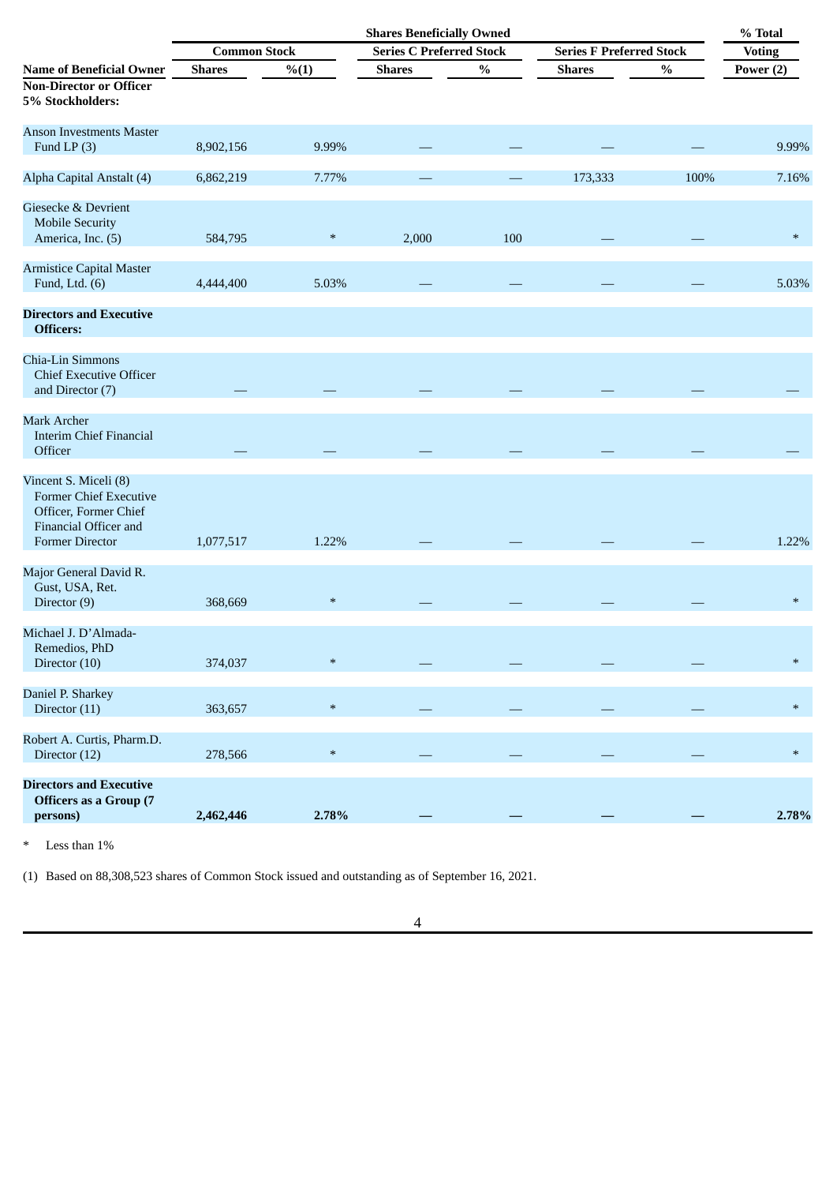|                                                                                                                                    | <b>Shares Beneficially Owned</b> |        |                                 |      |                                 | % Total |               |
|------------------------------------------------------------------------------------------------------------------------------------|----------------------------------|--------|---------------------------------|------|---------------------------------|---------|---------------|
|                                                                                                                                    | <b>Common Stock</b>              |        | <b>Series C Preferred Stock</b> |      | <b>Series F Preferred Stock</b> |         | <b>Voting</b> |
| <b>Name of Beneficial Owner</b><br><b>Non-Director or Officer</b><br>5% Stockholders:                                              | <b>Shares</b>                    | % (1)  | <b>Shares</b>                   | $\%$ | <b>Shares</b>                   | $\%$    | Power (2)     |
| <b>Anson Investments Master</b><br>Fund LP $(3)$                                                                                   | 8,902,156                        | 9.99%  |                                 |      |                                 |         | 9.99%         |
| Alpha Capital Anstalt (4)                                                                                                          | 6,862,219                        | 7.77%  |                                 |      | 173,333                         | 100%    | 7.16%         |
| Giesecke & Devrient<br><b>Mobile Security</b><br>America, Inc. (5)                                                                 | 584,795                          | $\ast$ | 2,000                           | 100  |                                 |         | $\ast$        |
| <b>Armistice Capital Master</b><br>Fund, Ltd. $(6)$                                                                                | 4,444,400                        | 5.03%  |                                 |      |                                 |         | 5.03%         |
| <b>Directors and Executive</b><br>Officers:                                                                                        |                                  |        |                                 |      |                                 |         |               |
| Chia-Lin Simmons<br><b>Chief Executive Officer</b><br>and Director (7)                                                             |                                  |        |                                 |      |                                 |         |               |
| <b>Mark Archer</b><br><b>Interim Chief Financial</b><br>Officer                                                                    |                                  |        |                                 |      |                                 |         |               |
| Vincent S. Miceli (8)<br><b>Former Chief Executive</b><br>Officer, Former Chief<br>Financial Officer and<br><b>Former Director</b> | 1,077,517                        | 1.22%  |                                 |      |                                 |         | 1.22%         |
| Major General David R.<br>Gust, USA, Ret.<br>Director (9)                                                                          | 368,669                          | $\ast$ |                                 |      |                                 |         | $\ast$        |
| Michael J. D'Almada-<br>Remedios, PhD<br>Director (10)                                                                             | 374,037                          | $\ast$ |                                 |      |                                 |         | $\ast$        |
| Daniel P. Sharkey<br>Director (11)                                                                                                 | 363,657                          | $\ast$ |                                 |      |                                 |         | $\ast$        |
| Robert A. Curtis, Pharm.D.<br>Director (12)                                                                                        | 278,566                          | $\ast$ |                                 |      |                                 |         | $\ast$        |
| <b>Directors and Executive</b><br><b>Officers as a Group (7</b><br>persons)                                                        | 2,462,446                        | 2.78%  |                                 |      |                                 |         | 2.78%         |

\* Less than 1%

(1) Based on 88,308,523 shares of Common Stock issued and outstanding as of September 16, 2021.

4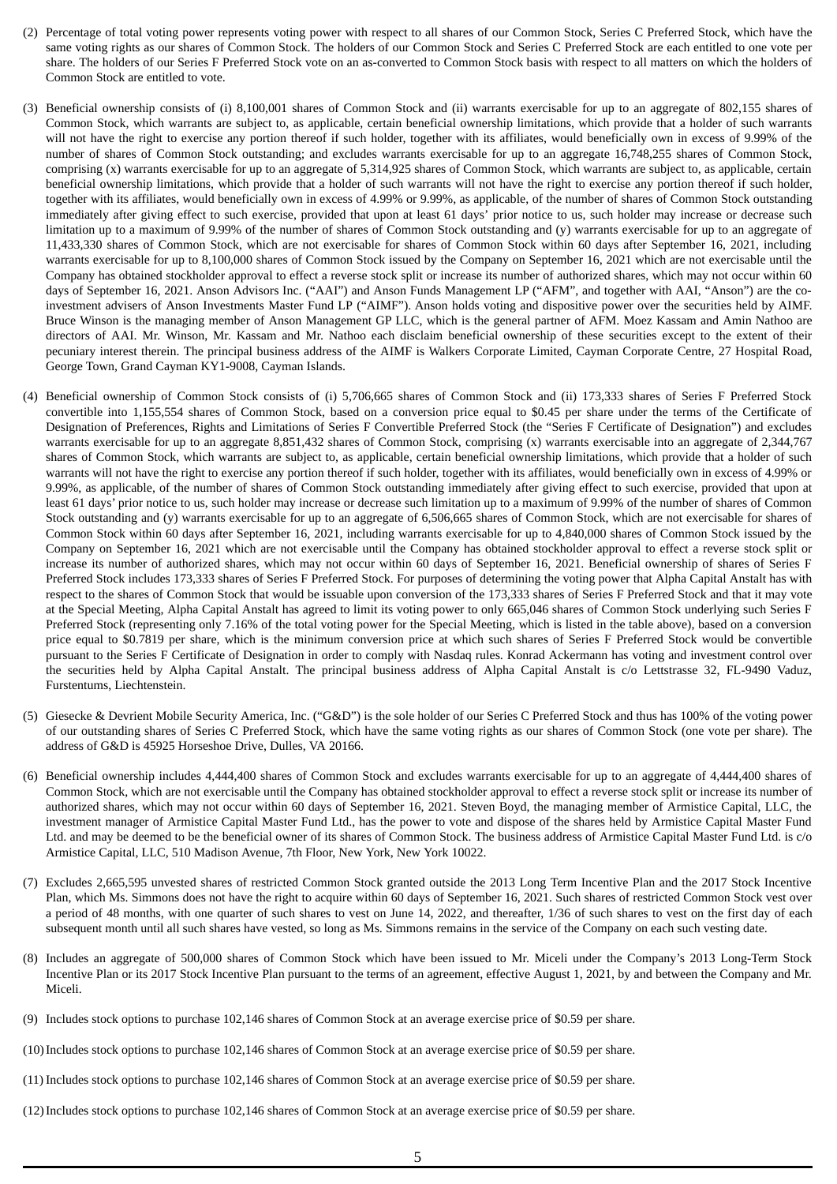- (2) Percentage of total voting power represents voting power with respect to all shares of our Common Stock, Series C Preferred Stock, which have the same voting rights as our shares of Common Stock. The holders of our Common Stock and Series C Preferred Stock are each entitled to one vote per share. The holders of our Series F Preferred Stock vote on an as-converted to Common Stock basis with respect to all matters on which the holders of Common Stock are entitled to vote.
- (3) Beneficial ownership consists of (i) 8,100,001 shares of Common Stock and (ii) warrants exercisable for up to an aggregate of 802,155 shares of Common Stock, which warrants are subject to, as applicable, certain beneficial ownership limitations, which provide that a holder of such warrants will not have the right to exercise any portion thereof if such holder, together with its affiliates, would beneficially own in excess of 9.99% of the number of shares of Common Stock outstanding; and excludes warrants exercisable for up to an aggregate 16,748,255 shares of Common Stock, comprising (x) warrants exercisable for up to an aggregate of 5,314,925 shares of Common Stock, which warrants are subject to, as applicable, certain beneficial ownership limitations, which provide that a holder of such warrants will not have the right to exercise any portion thereof if such holder, together with its affiliates, would beneficially own in excess of 4.99% or 9.99%, as applicable, of the number of shares of Common Stock outstanding immediately after giving effect to such exercise, provided that upon at least 61 days' prior notice to us, such holder may increase or decrease such limitation up to a maximum of 9.99% of the number of shares of Common Stock outstanding and (y) warrants exercisable for up to an aggregate of 11,433,330 shares of Common Stock, which are not exercisable for shares of Common Stock within 60 days after September 16, 2021, including warrants exercisable for up to 8,100,000 shares of Common Stock issued by the Company on September 16, 2021 which are not exercisable until the Company has obtained stockholder approval to effect a reverse stock split or increase its number of authorized shares, which may not occur within 60 days of September 16, 2021. Anson Advisors Inc. ("AAI") and Anson Funds Management LP ("AFM", and together with AAI, "Anson") are the coinvestment advisers of Anson Investments Master Fund LP ("AIMF"). Anson holds voting and dispositive power over the securities held by AIMF. Bruce Winson is the managing member of Anson Management GP LLC, which is the general partner of AFM. Moez Kassam and Amin Nathoo are directors of AAI. Mr. Winson, Mr. Kassam and Mr. Nathoo each disclaim beneficial ownership of these securities except to the extent of their pecuniary interest therein. The principal business address of the AIMF is Walkers Corporate Limited, Cayman Corporate Centre, 27 Hospital Road, George Town, Grand Cayman KY1-9008, Cayman Islands.
- (4) Beneficial ownership of Common Stock consists of (i) 5,706,665 shares of Common Stock and (ii) 173,333 shares of Series F Preferred Stock convertible into 1,155,554 shares of Common Stock, based on a conversion price equal to \$0.45 per share under the terms of the Certificate of Designation of Preferences, Rights and Limitations of Series F Convertible Preferred Stock (the "Series F Certificate of Designation") and excludes warrants exercisable for up to an aggregate 8,851,432 shares of Common Stock, comprising (x) warrants exercisable into an aggregate of 2,344,767 shares of Common Stock, which warrants are subject to, as applicable, certain beneficial ownership limitations, which provide that a holder of such warrants will not have the right to exercise any portion thereof if such holder, together with its affiliates, would beneficially own in excess of 4.99% or 9.99%, as applicable, of the number of shares of Common Stock outstanding immediately after giving effect to such exercise, provided that upon at least 61 days' prior notice to us, such holder may increase or decrease such limitation up to a maximum of 9.99% of the number of shares of Common Stock outstanding and (y) warrants exercisable for up to an aggregate of 6,506,665 shares of Common Stock, which are not exercisable for shares of Common Stock within 60 days after September 16, 2021, including warrants exercisable for up to 4,840,000 shares of Common Stock issued by the Company on September 16, 2021 which are not exercisable until the Company has obtained stockholder approval to effect a reverse stock split or increase its number of authorized shares, which may not occur within 60 days of September 16, 2021. Beneficial ownership of shares of Series F Preferred Stock includes 173,333 shares of Series F Preferred Stock. For purposes of determining the voting power that Alpha Capital Anstalt has with respect to the shares of Common Stock that would be issuable upon conversion of the 173,333 shares of Series F Preferred Stock and that it may vote at the Special Meeting, Alpha Capital Anstalt has agreed to limit its voting power to only 665,046 shares of Common Stock underlying such Series F Preferred Stock (representing only 7.16% of the total voting power for the Special Meeting, which is listed in the table above), based on a conversion price equal to \$0.7819 per share, which is the minimum conversion price at which such shares of Series F Preferred Stock would be convertible pursuant to the Series F Certificate of Designation in order to comply with Nasdaq rules. Konrad Ackermann has voting and investment control over the securities held by Alpha Capital Anstalt. The principal business address of Alpha Capital Anstalt is c/o Lettstrasse 32, FL-9490 Vaduz, Furstentums, Liechtenstein.
- (5) Giesecke & Devrient Mobile Security America, Inc. ("G&D") is the sole holder of our Series C Preferred Stock and thus has 100% of the voting power of our outstanding shares of Series C Preferred Stock, which have the same voting rights as our shares of Common Stock (one vote per share). The address of G&D is 45925 Horseshoe Drive, Dulles, VA 20166.
- (6) Beneficial ownership includes 4,444,400 shares of Common Stock and excludes warrants exercisable for up to an aggregate of 4,444,400 shares of Common Stock, which are not exercisable until the Company has obtained stockholder approval to effect a reverse stock split or increase its number of authorized shares, which may not occur within 60 days of September 16, 2021. Steven Boyd, the managing member of Armistice Capital, LLC, the investment manager of Armistice Capital Master Fund Ltd., has the power to vote and dispose of the shares held by Armistice Capital Master Fund Ltd. and may be deemed to be the beneficial owner of its shares of Common Stock. The business address of Armistice Capital Master Fund Ltd. is c/o Armistice Capital, LLC, 510 Madison Avenue, 7th Floor, New York, New York 10022.
- (7) Excludes 2,665,595 unvested shares of restricted Common Stock granted outside the 2013 Long Term Incentive Plan and the 2017 Stock Incentive Plan, which Ms. Simmons does not have the right to acquire within 60 days of September 16, 2021. Such shares of restricted Common Stock vest over a period of 48 months, with one quarter of such shares to vest on June 14, 2022, and thereafter, 1/36 of such shares to vest on the first day of each subsequent month until all such shares have vested, so long as Ms. Simmons remains in the service of the Company on each such vesting date.
- (8) Includes an aggregate of 500,000 shares of Common Stock which have been issued to Mr. Miceli under the Company's 2013 Long-Term Stock Incentive Plan or its 2017 Stock Incentive Plan pursuant to the terms of an agreement, effective August 1, 2021, by and between the Company and Mr. Miceli.
- (9) Includes stock options to purchase 102,146 shares of Common Stock at an average exercise price of \$0.59 per share.
- (10)Includes stock options to purchase 102,146 shares of Common Stock at an average exercise price of \$0.59 per share.
- (11) Includes stock options to purchase 102,146 shares of Common Stock at an average exercise price of \$0.59 per share.
- (12)Includes stock options to purchase 102,146 shares of Common Stock at an average exercise price of \$0.59 per share.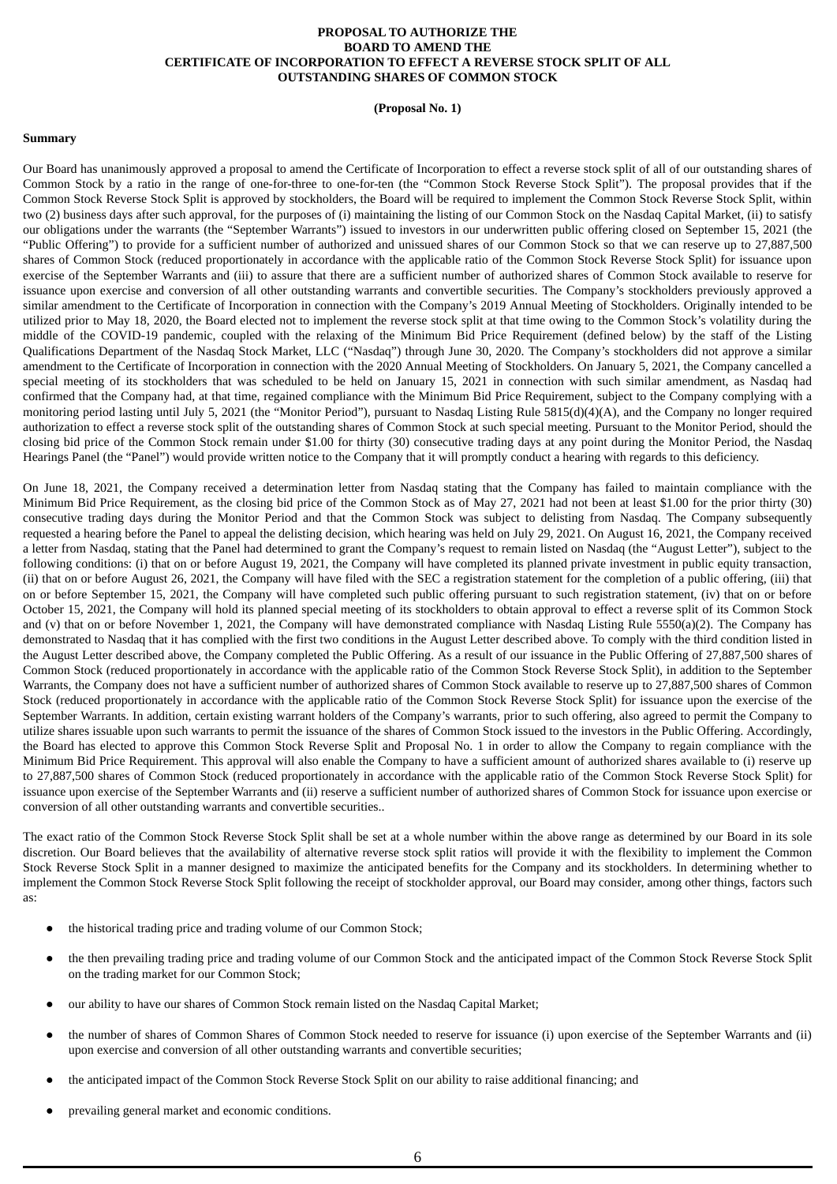### **PROPOSAL TO AUTHORIZE THE BOARD TO AMEND THE CERTIFICATE OF INCORPORATION TO EFFECT A REVERSE STOCK SPLIT OF ALL OUTSTANDING SHARES OF COMMON STOCK**

#### **(Proposal No. 1)**

#### <span id="page-9-1"></span><span id="page-9-0"></span>**Summary**

Our Board has unanimously approved a proposal to amend the Certificate of Incorporation to effect a reverse stock split of all of our outstanding shares of Common Stock by a ratio in the range of one-for-three to one-for-ten (the "Common Stock Reverse Stock Split"). The proposal provides that if the Common Stock Reverse Stock Split is approved by stockholders, the Board will be required to implement the Common Stock Reverse Stock Split, within two (2) business days after such approval, for the purposes of (i) maintaining the listing of our Common Stock on the Nasdaq Capital Market, (ii) to satisfy our obligations under the warrants (the "September Warrants") issued to investors in our underwritten public offering closed on September 15, 2021 (the "Public Offering") to provide for a sufficient number of authorized and unissued shares of our Common Stock so that we can reserve up to 27,887,500 shares of Common Stock (reduced proportionately in accordance with the applicable ratio of the Common Stock Reverse Stock Split) for issuance upon exercise of the September Warrants and (iii) to assure that there are a sufficient number of authorized shares of Common Stock available to reserve for issuance upon exercise and conversion of all other outstanding warrants and convertible securities. The Company's stockholders previously approved a similar amendment to the Certificate of Incorporation in connection with the Company's 2019 Annual Meeting of Stockholders. Originally intended to be utilized prior to May 18, 2020, the Board elected not to implement the reverse stock split at that time owing to the Common Stock's volatility during the middle of the COVID-19 pandemic, coupled with the relaxing of the Minimum Bid Price Requirement (defined below) by the staff of the Listing Qualifications Department of the Nasdaq Stock Market, LLC ("Nasdaq") through June 30, 2020. The Company's stockholders did not approve a similar amendment to the Certificate of Incorporation in connection with the 2020 Annual Meeting of Stockholders. On January 5, 2021, the Company cancelled a special meeting of its stockholders that was scheduled to be held on January 15, 2021 in connection with such similar amendment, as Nasdaq had confirmed that the Company had, at that time, regained compliance with the Minimum Bid Price Requirement, subject to the Company complying with a monitoring period lasting until July 5, 2021 (the "Monitor Period"), pursuant to Nasdaq Listing Rule 5815(d)(4)(A), and the Company no longer required authorization to effect a reverse stock split of the outstanding shares of Common Stock at such special meeting. Pursuant to the Monitor Period, should the closing bid price of the Common Stock remain under \$1.00 for thirty (30) consecutive trading days at any point during the Monitor Period, the Nasdaq Hearings Panel (the "Panel") would provide written notice to the Company that it will promptly conduct a hearing with regards to this deficiency.

On June 18, 2021, the Company received a determination letter from Nasdaq stating that the Company has failed to maintain compliance with the Minimum Bid Price Requirement, as the closing bid price of the Common Stock as of May 27, 2021 had not been at least \$1.00 for the prior thirty (30) consecutive trading days during the Monitor Period and that the Common Stock was subject to delisting from Nasdaq. The Company subsequently requested a hearing before the Panel to appeal the delisting decision, which hearing was held on July 29, 2021. On August 16, 2021, the Company received a letter from Nasdaq, stating that the Panel had determined to grant the Company's request to remain listed on Nasdaq (the "August Letter"), subject to the following conditions: (i) that on or before August 19, 2021, the Company will have completed its planned private investment in public equity transaction, (ii) that on or before August 26, 2021, the Company will have filed with the SEC a registration statement for the completion of a public offering, (iii) that on or before September 15, 2021, the Company will have completed such public offering pursuant to such registration statement, (iv) that on or before October 15, 2021, the Company will hold its planned special meeting of its stockholders to obtain approval to effect a reverse split of its Common Stock and (v) that on or before November 1, 2021, the Company will have demonstrated compliance with Nasdaq Listing Rule 5550(a)(2). The Company has demonstrated to Nasdaq that it has complied with the first two conditions in the August Letter described above. To comply with the third condition listed in the August Letter described above, the Company completed the Public Offering. As a result of our issuance in the Public Offering of 27,887,500 shares of Common Stock (reduced proportionately in accordance with the applicable ratio of the Common Stock Reverse Stock Split), in addition to the September Warrants, the Company does not have a sufficient number of authorized shares of Common Stock available to reserve up to 27,887,500 shares of Common Stock (reduced proportionately in accordance with the applicable ratio of the Common Stock Reverse Stock Split) for issuance upon the exercise of the September Warrants. In addition, certain existing warrant holders of the Company's warrants, prior to such offering, also agreed to permit the Company to utilize shares issuable upon such warrants to permit the issuance of the shares of Common Stock issued to the investors in the Public Offering. Accordingly, the Board has elected to approve this Common Stock Reverse Split and Proposal No. 1 in order to allow the Company to regain compliance with the Minimum Bid Price Requirement. This approval will also enable the Company to have a sufficient amount of authorized shares available to (i) reserve up to 27,887,500 shares of Common Stock (reduced proportionately in accordance with the applicable ratio of the Common Stock Reverse Stock Split) for issuance upon exercise of the September Warrants and (ii) reserve a sufficient number of authorized shares of Common Stock for issuance upon exercise or conversion of all other outstanding warrants and convertible securities..

The exact ratio of the Common Stock Reverse Stock Split shall be set at a whole number within the above range as determined by our Board in its sole discretion. Our Board believes that the availability of alternative reverse stock split ratios will provide it with the flexibility to implement the Common Stock Reverse Stock Split in a manner designed to maximize the anticipated benefits for the Company and its stockholders. In determining whether to implement the Common Stock Reverse Stock Split following the receipt of stockholder approval, our Board may consider, among other things, factors such as:

- the historical trading price and trading volume of our Common Stock;
- the then prevailing trading price and trading volume of our Common Stock and the anticipated impact of the Common Stock Reverse Stock Split on the trading market for our Common Stock;
- our ability to have our shares of Common Stock remain listed on the Nasdaq Capital Market;
- the number of shares of Common Shares of Common Stock needed to reserve for issuance (i) upon exercise of the September Warrants and (ii) upon exercise and conversion of all other outstanding warrants and convertible securities;
- the anticipated impact of the Common Stock Reverse Stock Split on our ability to raise additional financing; and
- prevailing general market and economic conditions.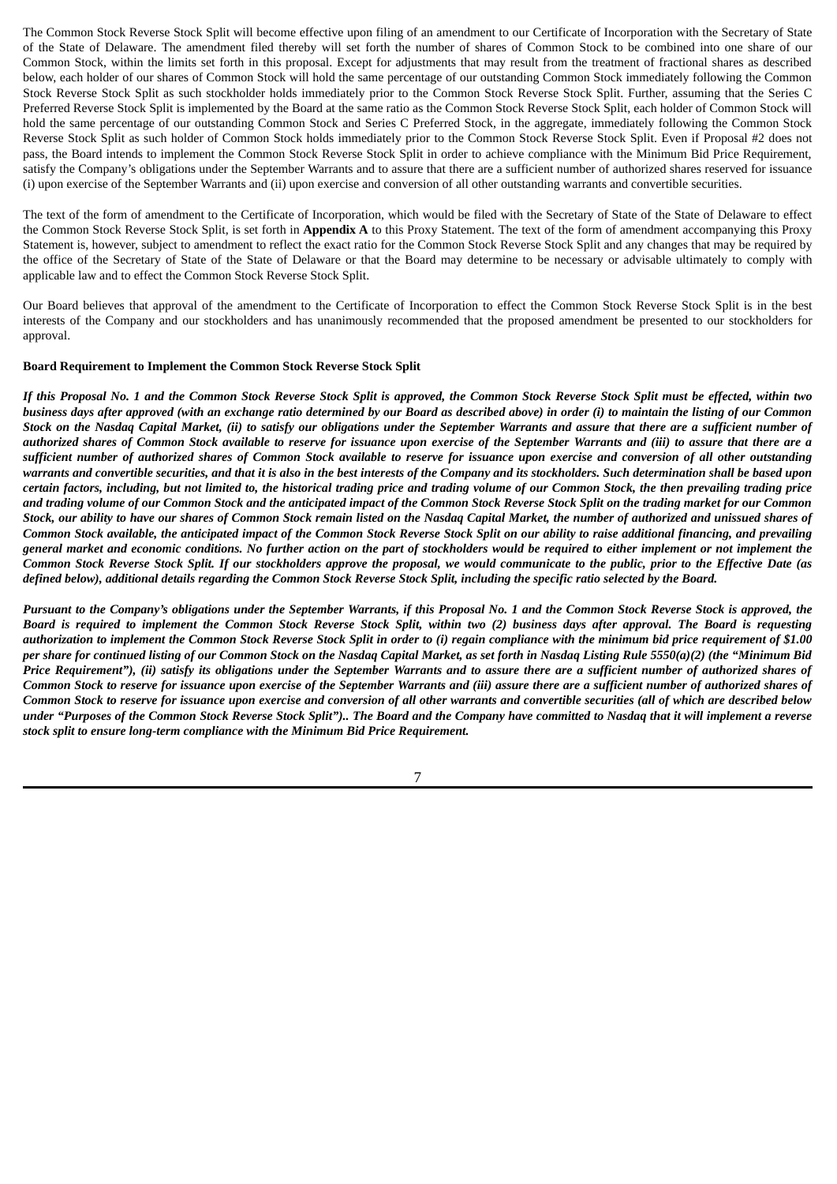The Common Stock Reverse Stock Split will become effective upon filing of an amendment to our Certificate of Incorporation with the Secretary of State of the State of Delaware. The amendment filed thereby will set forth the number of shares of Common Stock to be combined into one share of our Common Stock, within the limits set forth in this proposal. Except for adjustments that may result from the treatment of fractional shares as described below, each holder of our shares of Common Stock will hold the same percentage of our outstanding Common Stock immediately following the Common Stock Reverse Stock Split as such stockholder holds immediately prior to the Common Stock Reverse Stock Split. Further, assuming that the Series C Preferred Reverse Stock Split is implemented by the Board at the same ratio as the Common Stock Reverse Stock Split, each holder of Common Stock will hold the same percentage of our outstanding Common Stock and Series C Preferred Stock, in the aggregate, immediately following the Common Stock Reverse Stock Split as such holder of Common Stock holds immediately prior to the Common Stock Reverse Stock Split. Even if Proposal #2 does not pass, the Board intends to implement the Common Stock Reverse Stock Split in order to achieve compliance with the Minimum Bid Price Requirement, satisfy the Company's obligations under the September Warrants and to assure that there are a sufficient number of authorized shares reserved for issuance (i) upon exercise of the September Warrants and (ii) upon exercise and conversion of all other outstanding warrants and convertible securities.

The text of the form of amendment to the Certificate of Incorporation, which would be filed with the Secretary of State of the State of Delaware to effect the Common Stock Reverse Stock Split, is set forth in **Appendix A** to this Proxy Statement. The text of the form of amendment accompanying this Proxy Statement is, however, subject to amendment to reflect the exact ratio for the Common Stock Reverse Stock Split and any changes that may be required by the office of the Secretary of State of the State of Delaware or that the Board may determine to be necessary or advisable ultimately to comply with applicable law and to effect the Common Stock Reverse Stock Split.

Our Board believes that approval of the amendment to the Certificate of Incorporation to effect the Common Stock Reverse Stock Split is in the best interests of the Company and our stockholders and has unanimously recommended that the proposed amendment be presented to our stockholders for approval.

#### <span id="page-10-0"></span>**Board Requirement to Implement the Common Stock Reverse Stock Split**

If this Proposal No. 1 and the Common Stock Reverse Stock Split is approved, the Common Stock Reverse Stock Split must be effected, within two business days after approved (with an exchange ratio determined by our Board as described above) in order (i) to maintain the listing of our Common Stock on the Nasdaq Capital Market, (ii) to satisfy our obligations under the September Warrants and assure that there are a sufficient number of authorized shares of Common Stock available to reserve for issuance upon exercise of the September Warrants and (iii) to assure that there are a sufficient number of authorized shares of Common Stock available to reserve for issuance upon exercise and conversion of all other outstanding warrants and convertible securities, and that it is also in the best interests of the Company and its stockholders. Such determination shall be based upon certain factors, including, but not limited to, the historical trading price and trading volume of our Common Stock, the then prevailing trading price and trading volume of our Common Stock and the anticipated impact of the Common Stock Reverse Stock Split on the trading market for our Common Stock, our ability to have our shares of Common Stock remain listed on the Nasdaq Capital Market, the number of authorized and unissued shares of Common Stock available, the anticipated impact of the Common Stock Reverse Stock Split on our ability to raise additional financing, and prevailing general market and economic conditions. No further action on the part of stockholders would be required to either implement or not implement the Common Stock Reverse Stock Split. If our stockholders approve the proposal, we would communicate to the public, prior to the Effective Date (as defined below), additional details regarding the Common Stock Reverse Stock Split, including the specific ratio selected by the Board.

Pursuant to the Company's obligations under the September Warrants, if this Proposal No. 1 and the Common Stock Reverse Stock is approved, the Board is required to implement the Common Stock Reverse Stock Split, within two (2) business days after approval. The Board is requesting authorization to implement the Common Stock Reverse Stock Split in order to (i) regain compliance with the minimum bid price requirement of \$1.00 per share for continued listing of our Common Stock on the Nasdaq Capital Market, as set forth in Nasdaq Listing Rule 5550(a)(2) (the "Minimum Bid Price Requirement"), (ii) satisfy its obligations under the September Warrants and to assure there are a sufficient number of authorized shares of Common Stock to reserve for issuance upon exercise of the September Warrants and (iii) assure there are a sufficient number of authorized shares of Common Stock to reserve for issuance upon exercise and conversion of all other warrants and convertible securities (all of which are described below under "Purposes of the Common Stock Reverse Stock Split").. The Board and the Company have committed to Nasdaq that it will implement a reverse *stock split to ensure long-term compliance with the Minimum Bid Price Requirement.*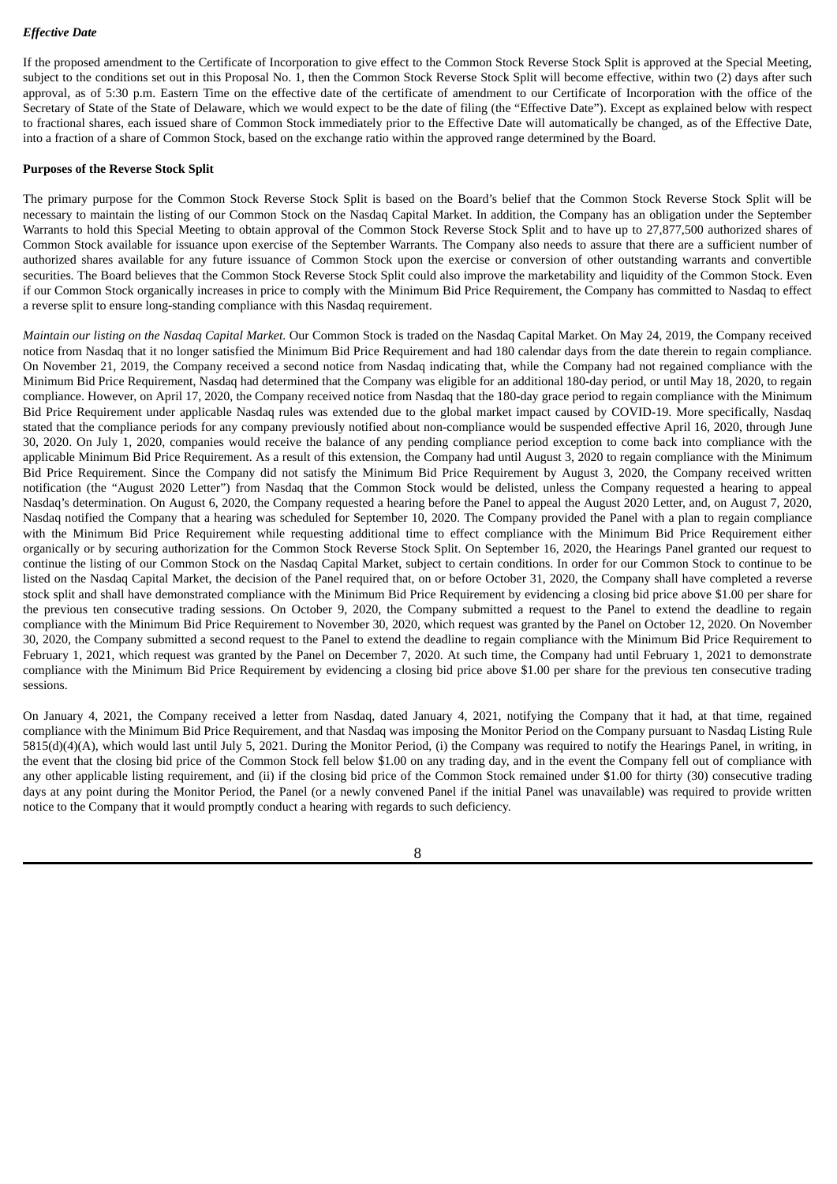# *Effective Date*

If the proposed amendment to the Certificate of Incorporation to give effect to the Common Stock Reverse Stock Split is approved at the Special Meeting, subject to the conditions set out in this Proposal No. 1, then the Common Stock Reverse Stock Split will become effective, within two (2) days after such approval, as of 5:30 p.m. Eastern Time on the effective date of the certificate of amendment to our Certificate of Incorporation with the office of the Secretary of State of the State of Delaware, which we would expect to be the date of filing (the "Effective Date"). Except as explained below with respect to fractional shares, each issued share of Common Stock immediately prior to the Effective Date will automatically be changed, as of the Effective Date, into a fraction of a share of Common Stock, based on the exchange ratio within the approved range determined by the Board.

### **Purposes of the Reverse Stock Split**

The primary purpose for the Common Stock Reverse Stock Split is based on the Board's belief that the Common Stock Reverse Stock Split will be necessary to maintain the listing of our Common Stock on the Nasdaq Capital Market. In addition, the Company has an obligation under the September Warrants to hold this Special Meeting to obtain approval of the Common Stock Reverse Stock Split and to have up to 27,877,500 authorized shares of Common Stock available for issuance upon exercise of the September Warrants. The Company also needs to assure that there are a sufficient number of authorized shares available for any future issuance of Common Stock upon the exercise or conversion of other outstanding warrants and convertible securities. The Board believes that the Common Stock Reverse Stock Split could also improve the marketability and liquidity of the Common Stock. Even if our Common Stock organically increases in price to comply with the Minimum Bid Price Requirement, the Company has committed to Nasdaq to effect a reverse split to ensure long-standing compliance with this Nasdaq requirement.

*Maintain our listing on the Nasdaq Capital Market.* Our Common Stock is traded on the Nasdaq Capital Market. On May 24, 2019, the Company received notice from Nasdaq that it no longer satisfied the Minimum Bid Price Requirement and had 180 calendar days from the date therein to regain compliance. On November 21, 2019, the Company received a second notice from Nasdaq indicating that, while the Company had not regained compliance with the Minimum Bid Price Requirement, Nasdaq had determined that the Company was eligible for an additional 180-day period, or until May 18, 2020, to regain compliance. However, on April 17, 2020, the Company received notice from Nasdaq that the 180-day grace period to regain compliance with the Minimum Bid Price Requirement under applicable Nasdaq rules was extended due to the global market impact caused by COVID-19. More specifically, Nasdaq stated that the compliance periods for any company previously notified about non-compliance would be suspended effective April 16, 2020, through June 30, 2020. On July 1, 2020, companies would receive the balance of any pending compliance period exception to come back into compliance with the applicable Minimum Bid Price Requirement. As a result of this extension, the Company had until August 3, 2020 to regain compliance with the Minimum Bid Price Requirement. Since the Company did not satisfy the Minimum Bid Price Requirement by August 3, 2020, the Company received written notification (the "August 2020 Letter") from Nasdaq that the Common Stock would be delisted, unless the Company requested a hearing to appeal Nasdaq's determination. On August 6, 2020, the Company requested a hearing before the Panel to appeal the August 2020 Letter, and, on August 7, 2020, Nasdaq notified the Company that a hearing was scheduled for September 10, 2020. The Company provided the Panel with a plan to regain compliance with the Minimum Bid Price Requirement while requesting additional time to effect compliance with the Minimum Bid Price Requirement either organically or by securing authorization for the Common Stock Reverse Stock Split. On September 16, 2020, the Hearings Panel granted our request to continue the listing of our Common Stock on the Nasdaq Capital Market, subject to certain conditions. In order for our Common Stock to continue to be listed on the Nasdaq Capital Market, the decision of the Panel required that, on or before October 31, 2020, the Company shall have completed a reverse stock split and shall have demonstrated compliance with the Minimum Bid Price Requirement by evidencing a closing bid price above \$1.00 per share for the previous ten consecutive trading sessions. On October 9, 2020, the Company submitted a request to the Panel to extend the deadline to regain compliance with the Minimum Bid Price Requirement to November 30, 2020, which request was granted by the Panel on October 12, 2020. On November 30, 2020, the Company submitted a second request to the Panel to extend the deadline to regain compliance with the Minimum Bid Price Requirement to February 1, 2021, which request was granted by the Panel on December 7, 2020. At such time, the Company had until February 1, 2021 to demonstrate compliance with the Minimum Bid Price Requirement by evidencing a closing bid price above \$1.00 per share for the previous ten consecutive trading sessions.

On January 4, 2021, the Company received a letter from Nasdaq, dated January 4, 2021, notifying the Company that it had, at that time, regained compliance with the Minimum Bid Price Requirement, and that Nasdaq was imposing the Monitor Period on the Company pursuant to Nasdaq Listing Rule 5815(d)(4)(A), which would last until July 5, 2021. During the Monitor Period, (i) the Company was required to notify the Hearings Panel, in writing, in the event that the closing bid price of the Common Stock fell below \$1.00 on any trading day, and in the event the Company fell out of compliance with any other applicable listing requirement, and (ii) if the closing bid price of the Common Stock remained under \$1.00 for thirty (30) consecutive trading days at any point during the Monitor Period, the Panel (or a newly convened Panel if the initial Panel was unavailable) was required to provide written notice to the Company that it would promptly conduct a hearing with regards to such deficiency.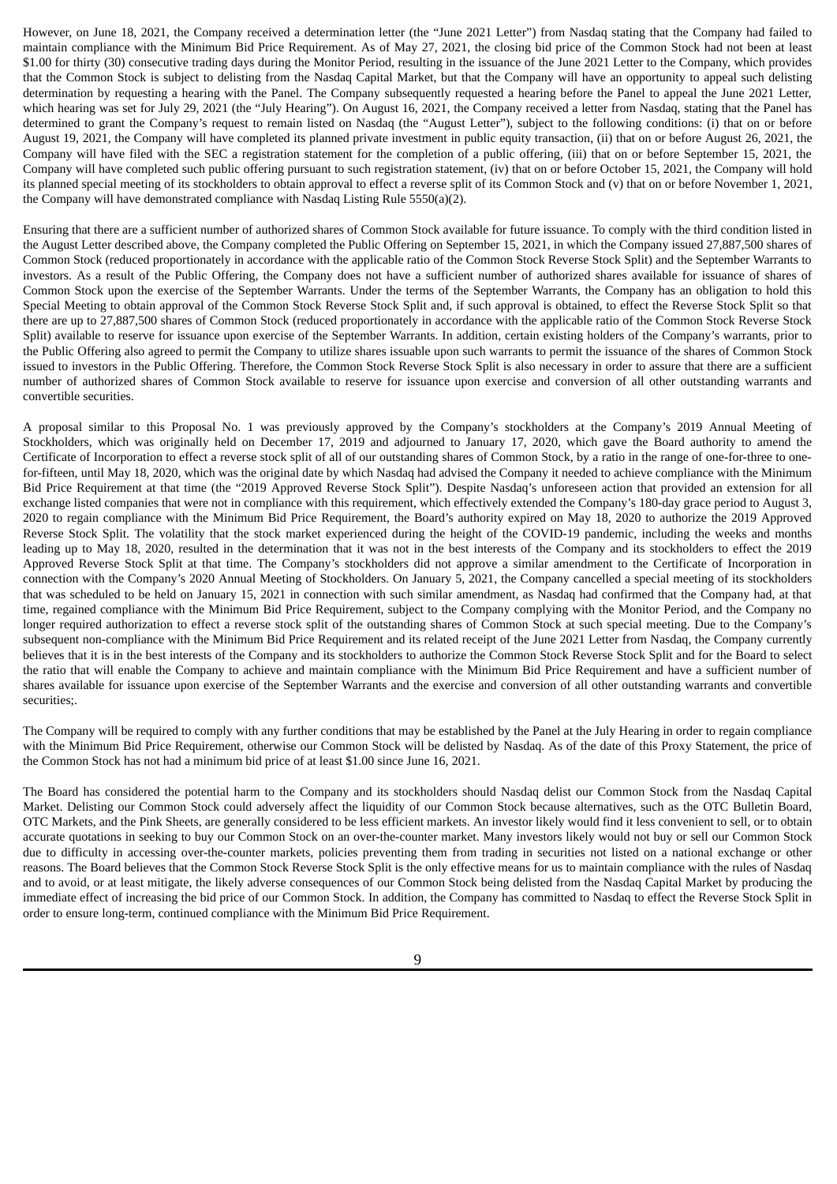However, on June 18, 2021, the Company received a determination letter (the "June 2021 Letter") from Nasdaq stating that the Company had failed to maintain compliance with the Minimum Bid Price Requirement. As of May 27, 2021, the closing bid price of the Common Stock had not been at least \$1.00 for thirty (30) consecutive trading days during the Monitor Period, resulting in the issuance of the June 2021 Letter to the Company, which provides that the Common Stock is subject to delisting from the Nasdaq Capital Market, but that the Company will have an opportunity to appeal such delisting determination by requesting a hearing with the Panel. The Company subsequently requested a hearing before the Panel to appeal the June 2021 Letter, which hearing was set for July 29, 2021 (the "July Hearing"). On August 16, 2021, the Company received a letter from Nasdaq, stating that the Panel has determined to grant the Company's request to remain listed on Nasdaq (the "August Letter"), subject to the following conditions: (i) that on or before August 19, 2021, the Company will have completed its planned private investment in public equity transaction, (ii) that on or before August 26, 2021, the Company will have filed with the SEC a registration statement for the completion of a public offering, (iii) that on or before September 15, 2021, the Company will have completed such public offering pursuant to such registration statement, (iv) that on or before October 15, 2021, the Company will hold its planned special meeting of its stockholders to obtain approval to effect a reverse split of its Common Stock and (v) that on or before November 1, 2021, the Company will have demonstrated compliance with Nasdaq Listing Rule 5550(a)(2).

Ensuring that there are a sufficient number of authorized shares of Common Stock available for future issuance. To comply with the third condition listed in the August Letter described above, the Company completed the Public Offering on September 15, 2021, in which the Company issued 27,887,500 shares of Common Stock (reduced proportionately in accordance with the applicable ratio of the Common Stock Reverse Stock Split) and the September Warrants to investors. As a result of the Public Offering, the Company does not have a sufficient number of authorized shares available for issuance of shares of Common Stock upon the exercise of the September Warrants. Under the terms of the September Warrants, the Company has an obligation to hold this Special Meeting to obtain approval of the Common Stock Reverse Stock Split and, if such approval is obtained, to effect the Reverse Stock Split so that there are up to 27,887,500 shares of Common Stock (reduced proportionately in accordance with the applicable ratio of the Common Stock Reverse Stock Split) available to reserve for issuance upon exercise of the September Warrants. In addition, certain existing holders of the Company's warrants, prior to the Public Offering also agreed to permit the Company to utilize shares issuable upon such warrants to permit the issuance of the shares of Common Stock issued to investors in the Public Offering. Therefore, the Common Stock Reverse Stock Split is also necessary in order to assure that there are a sufficient number of authorized shares of Common Stock available to reserve for issuance upon exercise and conversion of all other outstanding warrants and convertible securities.

A proposal similar to this Proposal No. 1 was previously approved by the Company's stockholders at the Company's 2019 Annual Meeting of Stockholders, which was originally held on December 17, 2019 and adjourned to January 17, 2020, which gave the Board authority to amend the Certificate of Incorporation to effect a reverse stock split of all of our outstanding shares of Common Stock, by a ratio in the range of one-for-three to onefor-fifteen, until May 18, 2020, which was the original date by which Nasdaq had advised the Company it needed to achieve compliance with the Minimum Bid Price Requirement at that time (the "2019 Approved Reverse Stock Split"). Despite Nasdaq's unforeseen action that provided an extension for all exchange listed companies that were not in compliance with this requirement, which effectively extended the Company's 180-day grace period to August 3, 2020 to regain compliance with the Minimum Bid Price Requirement, the Board's authority expired on May 18, 2020 to authorize the 2019 Approved Reverse Stock Split. The volatility that the stock market experienced during the height of the COVID-19 pandemic, including the weeks and months leading up to May 18, 2020, resulted in the determination that it was not in the best interests of the Company and its stockholders to effect the 2019 Approved Reverse Stock Split at that time. The Company's stockholders did not approve a similar amendment to the Certificate of Incorporation in connection with the Company's 2020 Annual Meeting of Stockholders. On January 5, 2021, the Company cancelled a special meeting of its stockholders that was scheduled to be held on January 15, 2021 in connection with such similar amendment, as Nasdaq had confirmed that the Company had, at that time, regained compliance with the Minimum Bid Price Requirement, subject to the Company complying with the Monitor Period, and the Company no longer required authorization to effect a reverse stock split of the outstanding shares of Common Stock at such special meeting. Due to the Company's subsequent non-compliance with the Minimum Bid Price Requirement and its related receipt of the June 2021 Letter from Nasdaq, the Company currently believes that it is in the best interests of the Company and its stockholders to authorize the Common Stock Reverse Stock Split and for the Board to select the ratio that will enable the Company to achieve and maintain compliance with the Minimum Bid Price Requirement and have a sufficient number of shares available for issuance upon exercise of the September Warrants and the exercise and conversion of all other outstanding warrants and convertible securities;.

The Company will be required to comply with any further conditions that may be established by the Panel at the July Hearing in order to regain compliance with the Minimum Bid Price Requirement, otherwise our Common Stock will be delisted by Nasdaq. As of the date of this Proxy Statement, the price of the Common Stock has not had a minimum bid price of at least \$1.00 since June 16, 2021.

The Board has considered the potential harm to the Company and its stockholders should Nasdaq delist our Common Stock from the Nasdaq Capital Market. Delisting our Common Stock could adversely affect the liquidity of our Common Stock because alternatives, such as the OTC Bulletin Board, OTC Markets, and the Pink Sheets, are generally considered to be less efficient markets. An investor likely would find it less convenient to sell, or to obtain accurate quotations in seeking to buy our Common Stock on an over-the-counter market. Many investors likely would not buy or sell our Common Stock due to difficulty in accessing over-the-counter markets, policies preventing them from trading in securities not listed on a national exchange or other reasons. The Board believes that the Common Stock Reverse Stock Split is the only effective means for us to maintain compliance with the rules of Nasdaq and to avoid, or at least mitigate, the likely adverse consequences of our Common Stock being delisted from the Nasdaq Capital Market by producing the immediate effect of increasing the bid price of our Common Stock. In addition, the Company has committed to Nasdaq to effect the Reverse Stock Split in order to ensure long-term, continued compliance with the Minimum Bid Price Requirement.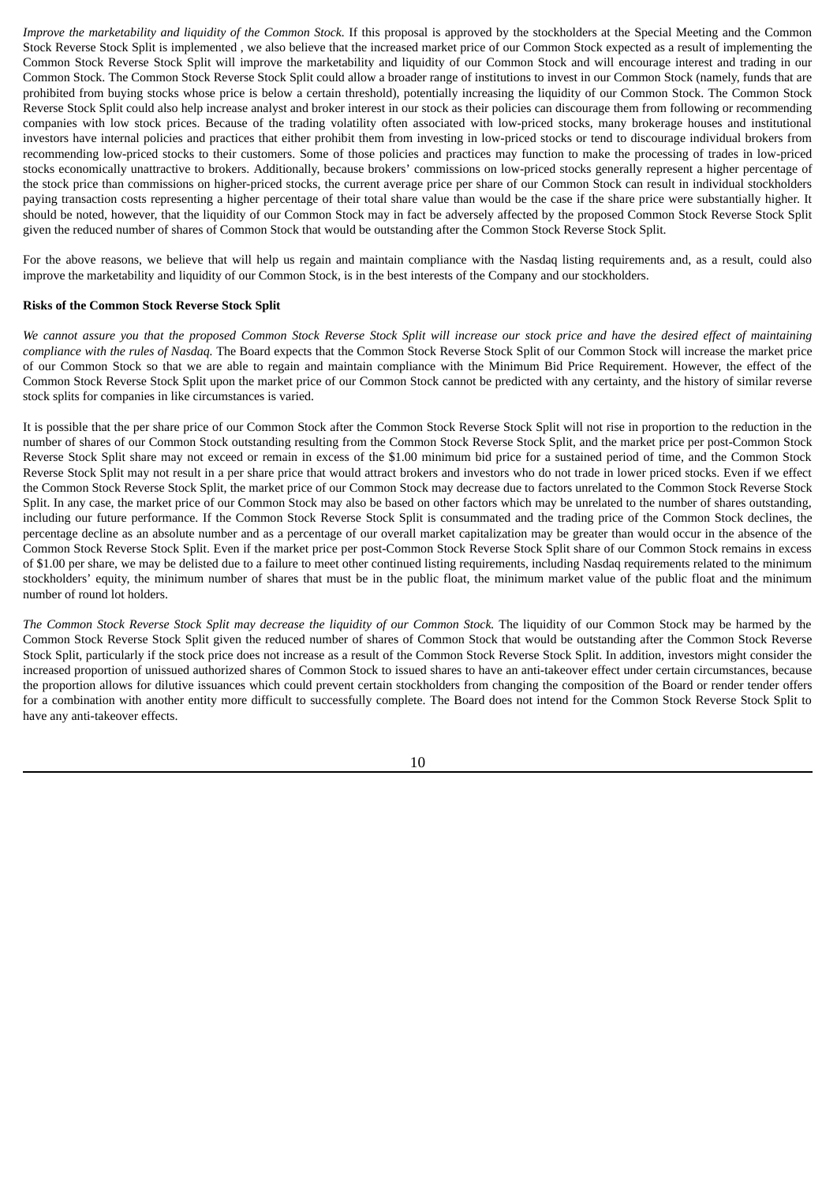*Improve the marketability and liquidity of the Common Stock.* If this proposal is approved by the stockholders at the Special Meeting and the Common Stock Reverse Stock Split is implemented , we also believe that the increased market price of our Common Stock expected as a result of implementing the Common Stock Reverse Stock Split will improve the marketability and liquidity of our Common Stock and will encourage interest and trading in our Common Stock. The Common Stock Reverse Stock Split could allow a broader range of institutions to invest in our Common Stock (namely, funds that are prohibited from buying stocks whose price is below a certain threshold), potentially increasing the liquidity of our Common Stock. The Common Stock Reverse Stock Split could also help increase analyst and broker interest in our stock as their policies can discourage them from following or recommending companies with low stock prices. Because of the trading volatility often associated with low-priced stocks, many brokerage houses and institutional investors have internal policies and practices that either prohibit them from investing in low-priced stocks or tend to discourage individual brokers from recommending low-priced stocks to their customers. Some of those policies and practices may function to make the processing of trades in low-priced stocks economically unattractive to brokers. Additionally, because brokers' commissions on low-priced stocks generally represent a higher percentage of the stock price than commissions on higher-priced stocks, the current average price per share of our Common Stock can result in individual stockholders paying transaction costs representing a higher percentage of their total share value than would be the case if the share price were substantially higher. It should be noted, however, that the liquidity of our Common Stock may in fact be adversely affected by the proposed Common Stock Reverse Stock Split given the reduced number of shares of Common Stock that would be outstanding after the Common Stock Reverse Stock Split.

For the above reasons, we believe that will help us regain and maintain compliance with the Nasdaq listing requirements and, as a result, could also improve the marketability and liquidity of our Common Stock, is in the best interests of the Company and our stockholders.

#### <span id="page-13-0"></span>**Risks of the Common Stock Reverse Stock Split**

We cannot assure you that the proposed Common Stock Reverse Stock Split will increase our stock price and have the desired effect of maintaining *compliance with the rules of Nasdaq.* The Board expects that the Common Stock Reverse Stock Split of our Common Stock will increase the market price of our Common Stock so that we are able to regain and maintain compliance with the Minimum Bid Price Requirement. However, the effect of the Common Stock Reverse Stock Split upon the market price of our Common Stock cannot be predicted with any certainty, and the history of similar reverse stock splits for companies in like circumstances is varied.

It is possible that the per share price of our Common Stock after the Common Stock Reverse Stock Split will not rise in proportion to the reduction in the number of shares of our Common Stock outstanding resulting from the Common Stock Reverse Stock Split, and the market price per post-Common Stock Reverse Stock Split share may not exceed or remain in excess of the \$1.00 minimum bid price for a sustained period of time, and the Common Stock Reverse Stock Split may not result in a per share price that would attract brokers and investors who do not trade in lower priced stocks. Even if we effect the Common Stock Reverse Stock Split, the market price of our Common Stock may decrease due to factors unrelated to the Common Stock Reverse Stock Split. In any case, the market price of our Common Stock may also be based on other factors which may be unrelated to the number of shares outstanding, including our future performance. If the Common Stock Reverse Stock Split is consummated and the trading price of the Common Stock declines, the percentage decline as an absolute number and as a percentage of our overall market capitalization may be greater than would occur in the absence of the Common Stock Reverse Stock Split. Even if the market price per post-Common Stock Reverse Stock Split share of our Common Stock remains in excess of \$1.00 per share, we may be delisted due to a failure to meet other continued listing requirements, including Nasdaq requirements related to the minimum stockholders' equity, the minimum number of shares that must be in the public float, the minimum market value of the public float and the minimum number of round lot holders.

The Common Stock Reverse Stock Split may decrease the liquidity of our Common Stock. The liquidity of our Common Stock may be harmed by the Common Stock Reverse Stock Split given the reduced number of shares of Common Stock that would be outstanding after the Common Stock Reverse Stock Split, particularly if the stock price does not increase as a result of the Common Stock Reverse Stock Split. In addition, investors might consider the increased proportion of unissued authorized shares of Common Stock to issued shares to have an anti-takeover effect under certain circumstances, because the proportion allows for dilutive issuances which could prevent certain stockholders from changing the composition of the Board or render tender offers for a combination with another entity more difficult to successfully complete. The Board does not intend for the Common Stock Reverse Stock Split to have any anti-takeover effects.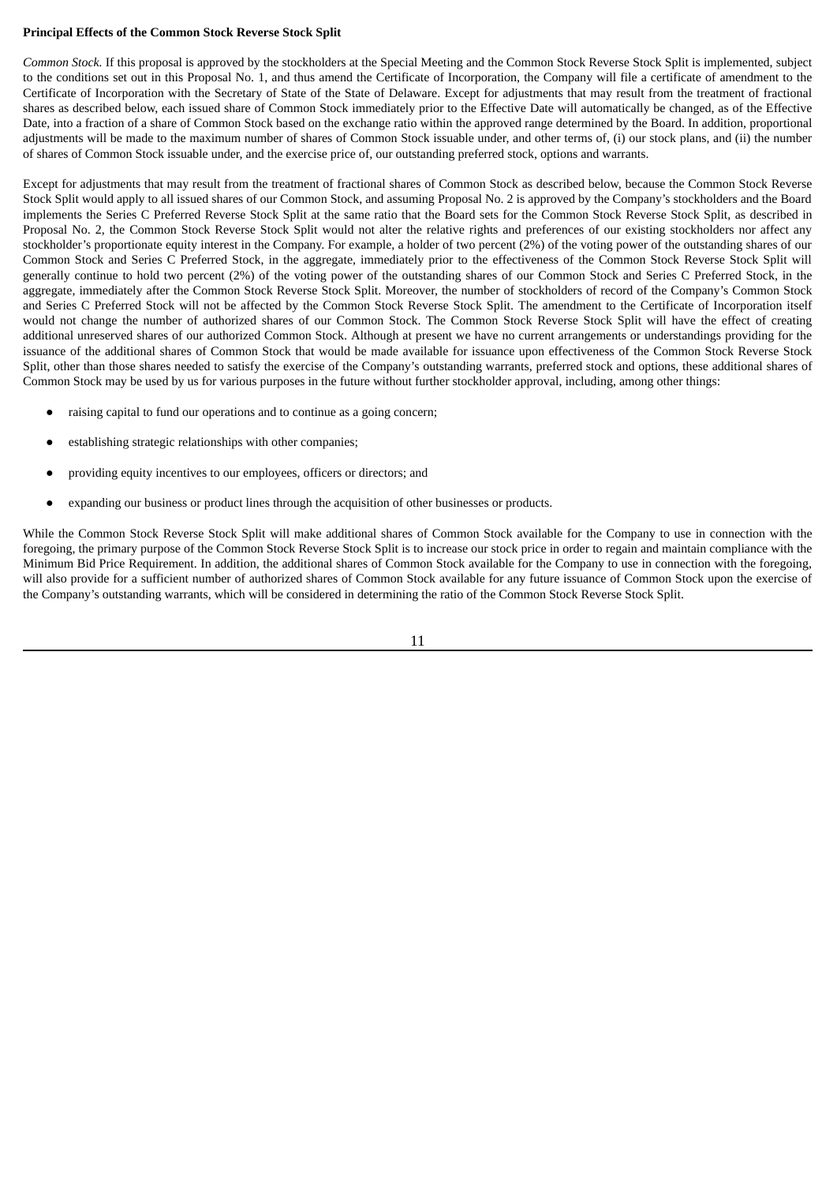# <span id="page-14-0"></span>**Principal Effects of the Common Stock Reverse Stock Split**

*Common Stock.* If this proposal is approved by the stockholders at the Special Meeting and the Common Stock Reverse Stock Split is implemented, subject to the conditions set out in this Proposal No. 1, and thus amend the Certificate of Incorporation, the Company will file a certificate of amendment to the Certificate of Incorporation with the Secretary of State of the State of Delaware. Except for adjustments that may result from the treatment of fractional shares as described below, each issued share of Common Stock immediately prior to the Effective Date will automatically be changed, as of the Effective Date, into a fraction of a share of Common Stock based on the exchange ratio within the approved range determined by the Board. In addition, proportional adjustments will be made to the maximum number of shares of Common Stock issuable under, and other terms of, (i) our stock plans, and (ii) the number of shares of Common Stock issuable under, and the exercise price of, our outstanding preferred stock, options and warrants.

Except for adjustments that may result from the treatment of fractional shares of Common Stock as described below, because the Common Stock Reverse Stock Split would apply to all issued shares of our Common Stock, and assuming Proposal No. 2 is approved by the Company's stockholders and the Board implements the Series C Preferred Reverse Stock Split at the same ratio that the Board sets for the Common Stock Reverse Stock Split, as described in Proposal No. 2, the Common Stock Reverse Stock Split would not alter the relative rights and preferences of our existing stockholders nor affect any stockholder's proportionate equity interest in the Company. For example, a holder of two percent (2%) of the voting power of the outstanding shares of our Common Stock and Series C Preferred Stock, in the aggregate, immediately prior to the effectiveness of the Common Stock Reverse Stock Split will generally continue to hold two percent (2%) of the voting power of the outstanding shares of our Common Stock and Series C Preferred Stock, in the aggregate, immediately after the Common Stock Reverse Stock Split. Moreover, the number of stockholders of record of the Company's Common Stock and Series C Preferred Stock will not be affected by the Common Stock Reverse Stock Split. The amendment to the Certificate of Incorporation itself would not change the number of authorized shares of our Common Stock. The Common Stock Reverse Stock Split will have the effect of creating additional unreserved shares of our authorized Common Stock. Although at present we have no current arrangements or understandings providing for the issuance of the additional shares of Common Stock that would be made available for issuance upon effectiveness of the Common Stock Reverse Stock Split, other than those shares needed to satisfy the exercise of the Company's outstanding warrants, preferred stock and options, these additional shares of Common Stock may be used by us for various purposes in the future without further stockholder approval, including, among other things:

- raising capital to fund our operations and to continue as a going concern;
- establishing strategic relationships with other companies;
- providing equity incentives to our employees, officers or directors; and
- expanding our business or product lines through the acquisition of other businesses or products.

While the Common Stock Reverse Stock Split will make additional shares of Common Stock available for the Company to use in connection with the foregoing, the primary purpose of the Common Stock Reverse Stock Split is to increase our stock price in order to regain and maintain compliance with the Minimum Bid Price Requirement. In addition, the additional shares of Common Stock available for the Company to use in connection with the foregoing, will also provide for a sufficient number of authorized shares of Common Stock available for any future issuance of Common Stock upon the exercise of the Company's outstanding warrants, which will be considered in determining the ratio of the Common Stock Reverse Stock Split.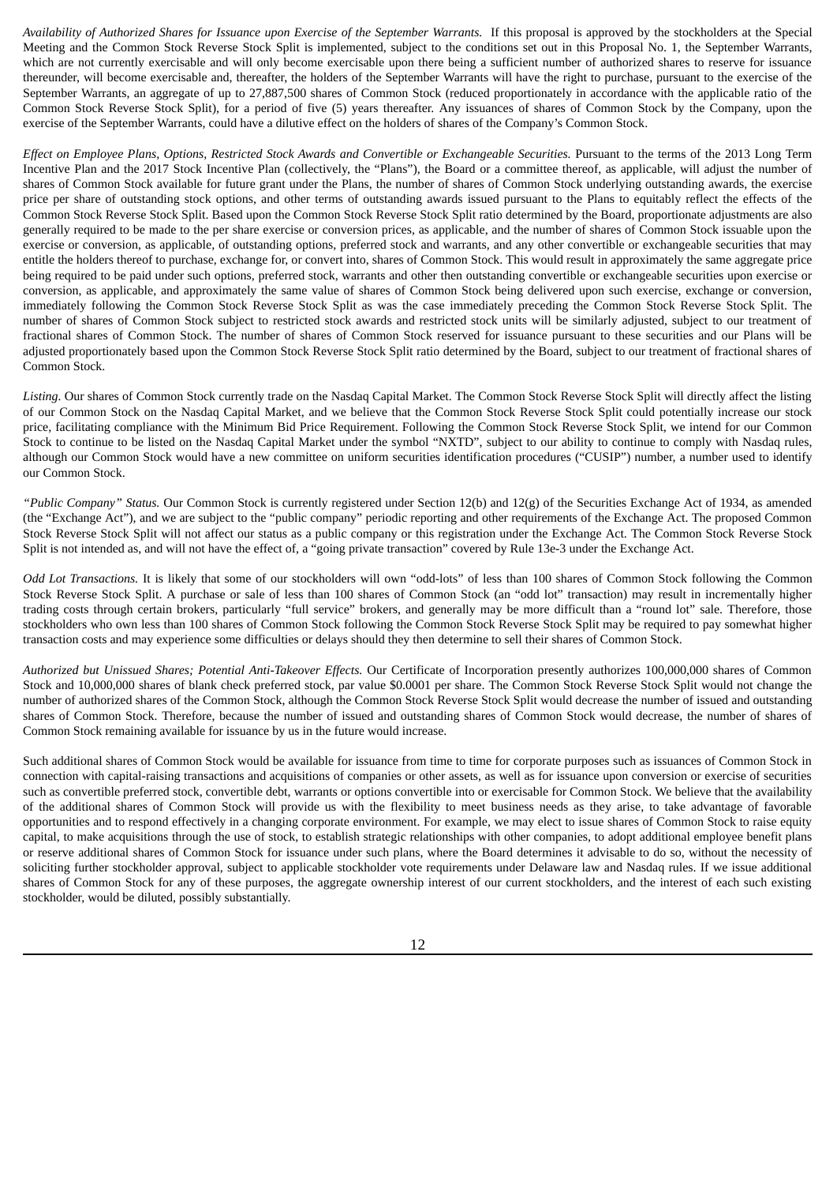Availability of Authorized Shares for Issuance upon Exercise of the September Warrants. If this proposal is approved by the stockholders at the Special Meeting and the Common Stock Reverse Stock Split is implemented, subject to the conditions set out in this Proposal No. 1, the September Warrants, which are not currently exercisable and will only become exercisable upon there being a sufficient number of authorized shares to reserve for issuance thereunder, will become exercisable and, thereafter, the holders of the September Warrants will have the right to purchase, pursuant to the exercise of the September Warrants, an aggregate of up to 27,887,500 shares of Common Stock (reduced proportionately in accordance with the applicable ratio of the Common Stock Reverse Stock Split), for a period of five (5) years thereafter. Any issuances of shares of Common Stock by the Company, upon the exercise of the September Warrants, could have a dilutive effect on the holders of shares of the Company's Common Stock.

Effect on Employee Plans, Options, Restricted Stock Awards and Convertible or Exchangeable Securities. Pursuant to the terms of the 2013 Long Term Incentive Plan and the 2017 Stock Incentive Plan (collectively, the "Plans"), the Board or a committee thereof, as applicable, will adjust the number of shares of Common Stock available for future grant under the Plans, the number of shares of Common Stock underlying outstanding awards, the exercise price per share of outstanding stock options, and other terms of outstanding awards issued pursuant to the Plans to equitably reflect the effects of the Common Stock Reverse Stock Split. Based upon the Common Stock Reverse Stock Split ratio determined by the Board, proportionate adjustments are also generally required to be made to the per share exercise or conversion prices, as applicable, and the number of shares of Common Stock issuable upon the exercise or conversion, as applicable, of outstanding options, preferred stock and warrants, and any other convertible or exchangeable securities that may entitle the holders thereof to purchase, exchange for, or convert into, shares of Common Stock. This would result in approximately the same aggregate price being required to be paid under such options, preferred stock, warrants and other then outstanding convertible or exchangeable securities upon exercise or conversion, as applicable, and approximately the same value of shares of Common Stock being delivered upon such exercise, exchange or conversion, immediately following the Common Stock Reverse Stock Split as was the case immediately preceding the Common Stock Reverse Stock Split. The number of shares of Common Stock subject to restricted stock awards and restricted stock units will be similarly adjusted, subject to our treatment of fractional shares of Common Stock. The number of shares of Common Stock reserved for issuance pursuant to these securities and our Plans will be adjusted proportionately based upon the Common Stock Reverse Stock Split ratio determined by the Board, subject to our treatment of fractional shares of Common Stock.

*Listing.* Our shares of Common Stock currently trade on the Nasdaq Capital Market. The Common Stock Reverse Stock Split will directly affect the listing of our Common Stock on the Nasdaq Capital Market, and we believe that the Common Stock Reverse Stock Split could potentially increase our stock price, facilitating compliance with the Minimum Bid Price Requirement. Following the Common Stock Reverse Stock Split, we intend for our Common Stock to continue to be listed on the Nasdaq Capital Market under the symbol "NXTD", subject to our ability to continue to comply with Nasdaq rules, although our Common Stock would have a new committee on uniform securities identification procedures ("CUSIP") number, a number used to identify our Common Stock.

*"Public Company" Status.* Our Common Stock is currently registered under Section 12(b) and 12(g) of the Securities Exchange Act of 1934, as amended (the "Exchange Act"), and we are subject to the "public company" periodic reporting and other requirements of the Exchange Act. The proposed Common Stock Reverse Stock Split will not affect our status as a public company or this registration under the Exchange Act. The Common Stock Reverse Stock Split is not intended as, and will not have the effect of, a "going private transaction" covered by Rule 13e-3 under the Exchange Act.

*Odd Lot Transactions.* It is likely that some of our stockholders will own "odd-lots" of less than 100 shares of Common Stock following the Common Stock Reverse Stock Split. A purchase or sale of less than 100 shares of Common Stock (an "odd lot" transaction) may result in incrementally higher trading costs through certain brokers, particularly "full service" brokers, and generally may be more difficult than a "round lot" sale. Therefore, those stockholders who own less than 100 shares of Common Stock following the Common Stock Reverse Stock Split may be required to pay somewhat higher transaction costs and may experience some difficulties or delays should they then determine to sell their shares of Common Stock.

*Authorized but Unissued Shares; Potential Anti-Takeover Effects.* Our Certificate of Incorporation presently authorizes 100,000,000 shares of Common Stock and 10,000,000 shares of blank check preferred stock, par value \$0.0001 per share. The Common Stock Reverse Stock Split would not change the number of authorized shares of the Common Stock, although the Common Stock Reverse Stock Split would decrease the number of issued and outstanding shares of Common Stock. Therefore, because the number of issued and outstanding shares of Common Stock would decrease, the number of shares of Common Stock remaining available for issuance by us in the future would increase.

Such additional shares of Common Stock would be available for issuance from time to time for corporate purposes such as issuances of Common Stock in connection with capital-raising transactions and acquisitions of companies or other assets, as well as for issuance upon conversion or exercise of securities such as convertible preferred stock, convertible debt, warrants or options convertible into or exercisable for Common Stock. We believe that the availability of the additional shares of Common Stock will provide us with the flexibility to meet business needs as they arise, to take advantage of favorable opportunities and to respond effectively in a changing corporate environment. For example, we may elect to issue shares of Common Stock to raise equity capital, to make acquisitions through the use of stock, to establish strategic relationships with other companies, to adopt additional employee benefit plans or reserve additional shares of Common Stock for issuance under such plans, where the Board determines it advisable to do so, without the necessity of soliciting further stockholder approval, subject to applicable stockholder vote requirements under Delaware law and Nasdaq rules. If we issue additional shares of Common Stock for any of these purposes, the aggregate ownership interest of our current stockholders, and the interest of each such existing stockholder, would be diluted, possibly substantially.

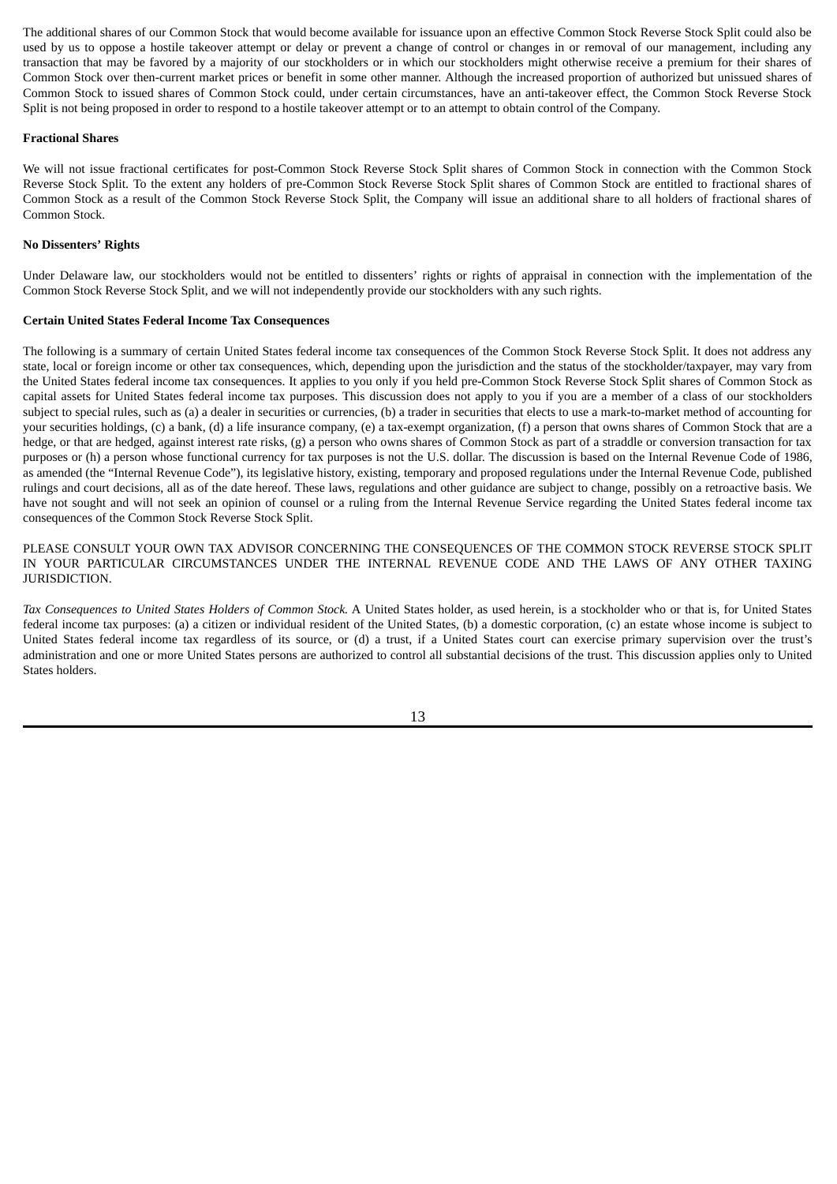The additional shares of our Common Stock that would become available for issuance upon an effective Common Stock Reverse Stock Split could also be used by us to oppose a hostile takeover attempt or delay or prevent a change of control or changes in or removal of our management, including any transaction that may be favored by a majority of our stockholders or in which our stockholders might otherwise receive a premium for their shares of Common Stock over then-current market prices or benefit in some other manner. Although the increased proportion of authorized but unissued shares of Common Stock to issued shares of Common Stock could, under certain circumstances, have an anti-takeover effect, the Common Stock Reverse Stock Split is not being proposed in order to respond to a hostile takeover attempt or to an attempt to obtain control of the Company.

### <span id="page-16-0"></span>**Fractional Shares**

We will not issue fractional certificates for post-Common Stock Reverse Stock Split shares of Common Stock in connection with the Common Stock Reverse Stock Split. To the extent any holders of pre-Common Stock Reverse Stock Split shares of Common Stock are entitled to fractional shares of Common Stock as a result of the Common Stock Reverse Stock Split, the Company will issue an additional share to all holders of fractional shares of Common Stock.

### <span id="page-16-1"></span>**No Dissenters' Rights**

Under Delaware law, our stockholders would not be entitled to dissenters' rights or rights of appraisal in connection with the implementation of the Common Stock Reverse Stock Split, and we will not independently provide our stockholders with any such rights.

### <span id="page-16-2"></span>**Certain United States Federal Income Tax Consequences**

The following is a summary of certain United States federal income tax consequences of the Common Stock Reverse Stock Split. It does not address any state, local or foreign income or other tax consequences, which, depending upon the jurisdiction and the status of the stockholder/taxpayer, may vary from the United States federal income tax consequences. It applies to you only if you held pre-Common Stock Reverse Stock Split shares of Common Stock as capital assets for United States federal income tax purposes. This discussion does not apply to you if you are a member of a class of our stockholders subject to special rules, such as (a) a dealer in securities or currencies, (b) a trader in securities that elects to use a mark-to-market method of accounting for your securities holdings, (c) a bank, (d) a life insurance company, (e) a tax-exempt organization, (f) a person that owns shares of Common Stock that are a hedge, or that are hedged, against interest rate risks, (g) a person who owns shares of Common Stock as part of a straddle or conversion transaction for tax purposes or (h) a person whose functional currency for tax purposes is not the U.S. dollar. The discussion is based on the Internal Revenue Code of 1986, as amended (the "Internal Revenue Code"), its legislative history, existing, temporary and proposed regulations under the Internal Revenue Code, published rulings and court decisions, all as of the date hereof. These laws, regulations and other guidance are subject to change, possibly on a retroactive basis. We have not sought and will not seek an opinion of counsel or a ruling from the Internal Revenue Service regarding the United States federal income tax consequences of the Common Stock Reverse Stock Split.

PLEASE CONSULT YOUR OWN TAX ADVISOR CONCERNING THE CONSEQUENCES OF THE COMMON STOCK REVERSE STOCK SPLIT IN YOUR PARTICULAR CIRCUMSTANCES UNDER THE INTERNAL REVENUE CODE AND THE LAWS OF ANY OTHER TAXING JURISDICTION.

*Tax Consequences to United States Holders of Common Stock.* A United States holder, as used herein, is a stockholder who or that is, for United States federal income tax purposes: (a) a citizen or individual resident of the United States, (b) a domestic corporation, (c) an estate whose income is subject to United States federal income tax regardless of its source, or (d) a trust, if a United States court can exercise primary supervision over the trust's administration and one or more United States persons are authorized to control all substantial decisions of the trust. This discussion applies only to United States holders.

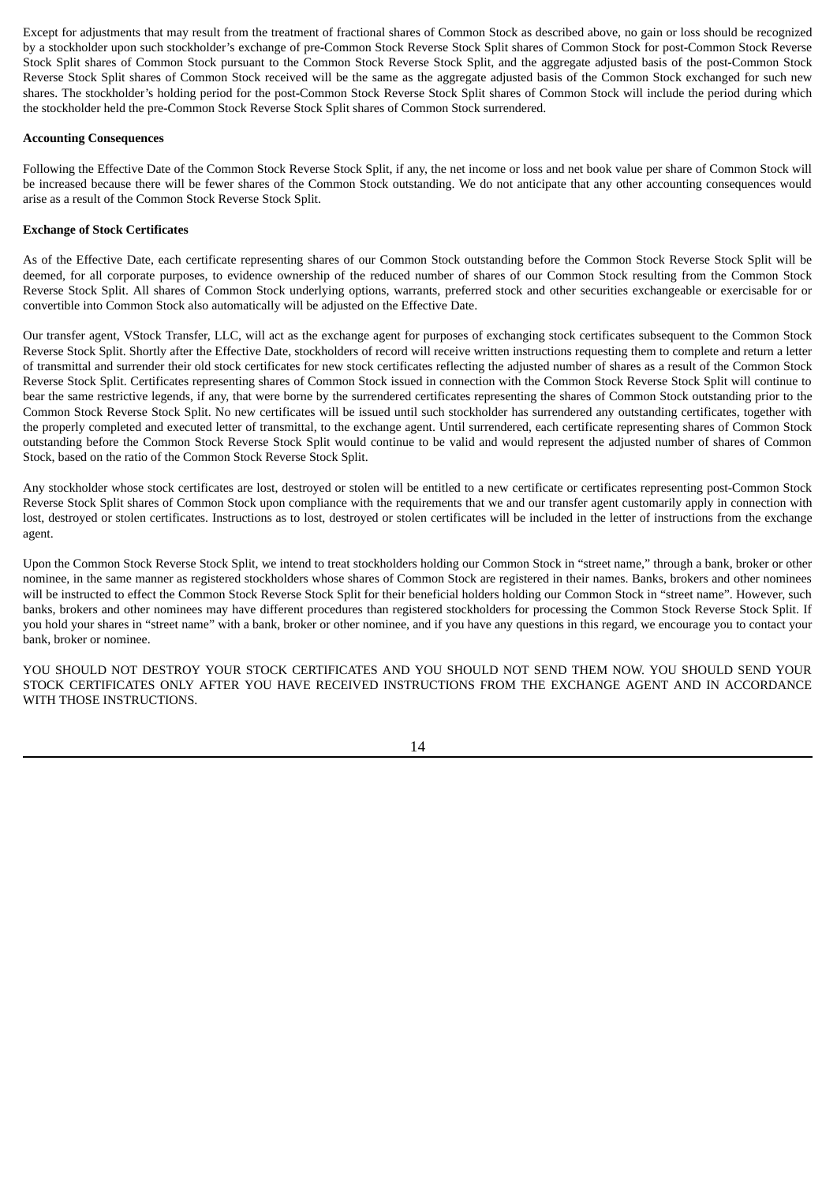Except for adjustments that may result from the treatment of fractional shares of Common Stock as described above, no gain or loss should be recognized by a stockholder upon such stockholder's exchange of pre-Common Stock Reverse Stock Split shares of Common Stock for post-Common Stock Reverse Stock Split shares of Common Stock pursuant to the Common Stock Reverse Stock Split, and the aggregate adjusted basis of the post-Common Stock Reverse Stock Split shares of Common Stock received will be the same as the aggregate adjusted basis of the Common Stock exchanged for such new shares. The stockholder's holding period for the post-Common Stock Reverse Stock Split shares of Common Stock will include the period during which the stockholder held the pre-Common Stock Reverse Stock Split shares of Common Stock surrendered.

### <span id="page-17-0"></span>**Accounting Consequences**

Following the Effective Date of the Common Stock Reverse Stock Split, if any, the net income or loss and net book value per share of Common Stock will be increased because there will be fewer shares of the Common Stock outstanding. We do not anticipate that any other accounting consequences would arise as a result of the Common Stock Reverse Stock Split.

# <span id="page-17-1"></span>**Exchange of Stock Certificates**

As of the Effective Date, each certificate representing shares of our Common Stock outstanding before the Common Stock Reverse Stock Split will be deemed, for all corporate purposes, to evidence ownership of the reduced number of shares of our Common Stock resulting from the Common Stock Reverse Stock Split. All shares of Common Stock underlying options, warrants, preferred stock and other securities exchangeable or exercisable for or convertible into Common Stock also automatically will be adjusted on the Effective Date.

Our transfer agent, VStock Transfer, LLC, will act as the exchange agent for purposes of exchanging stock certificates subsequent to the Common Stock Reverse Stock Split. Shortly after the Effective Date, stockholders of record will receive written instructions requesting them to complete and return a letter of transmittal and surrender their old stock certificates for new stock certificates reflecting the adjusted number of shares as a result of the Common Stock Reverse Stock Split. Certificates representing shares of Common Stock issued in connection with the Common Stock Reverse Stock Split will continue to bear the same restrictive legends, if any, that were borne by the surrendered certificates representing the shares of Common Stock outstanding prior to the Common Stock Reverse Stock Split. No new certificates will be issued until such stockholder has surrendered any outstanding certificates, together with the properly completed and executed letter of transmittal, to the exchange agent. Until surrendered, each certificate representing shares of Common Stock outstanding before the Common Stock Reverse Stock Split would continue to be valid and would represent the adjusted number of shares of Common Stock, based on the ratio of the Common Stock Reverse Stock Split.

Any stockholder whose stock certificates are lost, destroyed or stolen will be entitled to a new certificate or certificates representing post-Common Stock Reverse Stock Split shares of Common Stock upon compliance with the requirements that we and our transfer agent customarily apply in connection with lost, destroyed or stolen certificates. Instructions as to lost, destroyed or stolen certificates will be included in the letter of instructions from the exchange agent.

Upon the Common Stock Reverse Stock Split, we intend to treat stockholders holding our Common Stock in "street name," through a bank, broker or other nominee, in the same manner as registered stockholders whose shares of Common Stock are registered in their names. Banks, brokers and other nominees will be instructed to effect the Common Stock Reverse Stock Split for their beneficial holders holding our Common Stock in "street name". However, such banks, brokers and other nominees may have different procedures than registered stockholders for processing the Common Stock Reverse Stock Split. If you hold your shares in "street name" with a bank, broker or other nominee, and if you have any questions in this regard, we encourage you to contact your bank, broker or nominee.

YOU SHOULD NOT DESTROY YOUR STOCK CERTIFICATES AND YOU SHOULD NOT SEND THEM NOW. YOU SHOULD SEND YOUR STOCK CERTIFICATES ONLY AFTER YOU HAVE RECEIVED INSTRUCTIONS FROM THE EXCHANGE AGENT AND IN ACCORDANCE WITH THOSE INSTRUCTIONS.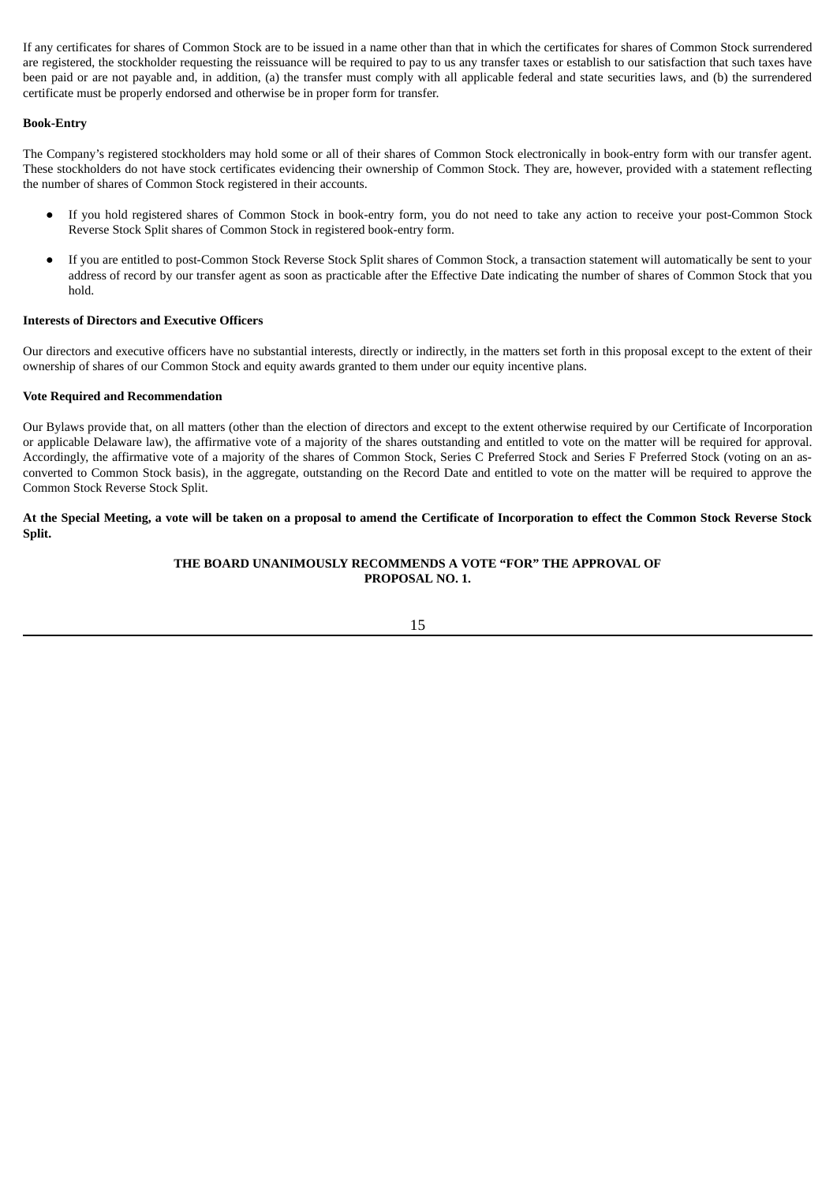If any certificates for shares of Common Stock are to be issued in a name other than that in which the certificates for shares of Common Stock surrendered are registered, the stockholder requesting the reissuance will be required to pay to us any transfer taxes or establish to our satisfaction that such taxes have been paid or are not payable and, in addition, (a) the transfer must comply with all applicable federal and state securities laws, and (b) the surrendered certificate must be properly endorsed and otherwise be in proper form for transfer.

# <span id="page-18-0"></span>**Book-Entry**

The Company's registered stockholders may hold some or all of their shares of Common Stock electronically in book-entry form with our transfer agent. These stockholders do not have stock certificates evidencing their ownership of Common Stock. They are, however, provided with a statement reflecting the number of shares of Common Stock registered in their accounts.

- If you hold registered shares of Common Stock in book-entry form, you do not need to take any action to receive your post-Common Stock Reverse Stock Split shares of Common Stock in registered book-entry form.
- If you are entitled to post-Common Stock Reverse Stock Split shares of Common Stock, a transaction statement will automatically be sent to your address of record by our transfer agent as soon as practicable after the Effective Date indicating the number of shares of Common Stock that you hold.

# <span id="page-18-1"></span>**Interests of Directors and Executive Officers**

Our directors and executive officers have no substantial interests, directly or indirectly, in the matters set forth in this proposal except to the extent of their ownership of shares of our Common Stock and equity awards granted to them under our equity incentive plans.

### <span id="page-18-2"></span>**Vote Required and Recommendation**

Our Bylaws provide that, on all matters (other than the election of directors and except to the extent otherwise required by our Certificate of Incorporation or applicable Delaware law), the affirmative vote of a majority of the shares outstanding and entitled to vote on the matter will be required for approval. Accordingly, the affirmative vote of a majority of the shares of Common Stock, Series C Preferred Stock and Series F Preferred Stock (voting on an asconverted to Common Stock basis), in the aggregate, outstanding on the Record Date and entitled to vote on the matter will be required to approve the Common Stock Reverse Stock Split.

At the Special Meeting, a vote will be taken on a proposal to amend the Certificate of Incorporation to effect the Common Stock Reverse Stock **Split.**

# **THE BOARD UNANIMOUSLY RECOMMENDS A VOTE "FOR" THE APPROVAL OF PROPOSAL NO. 1.**

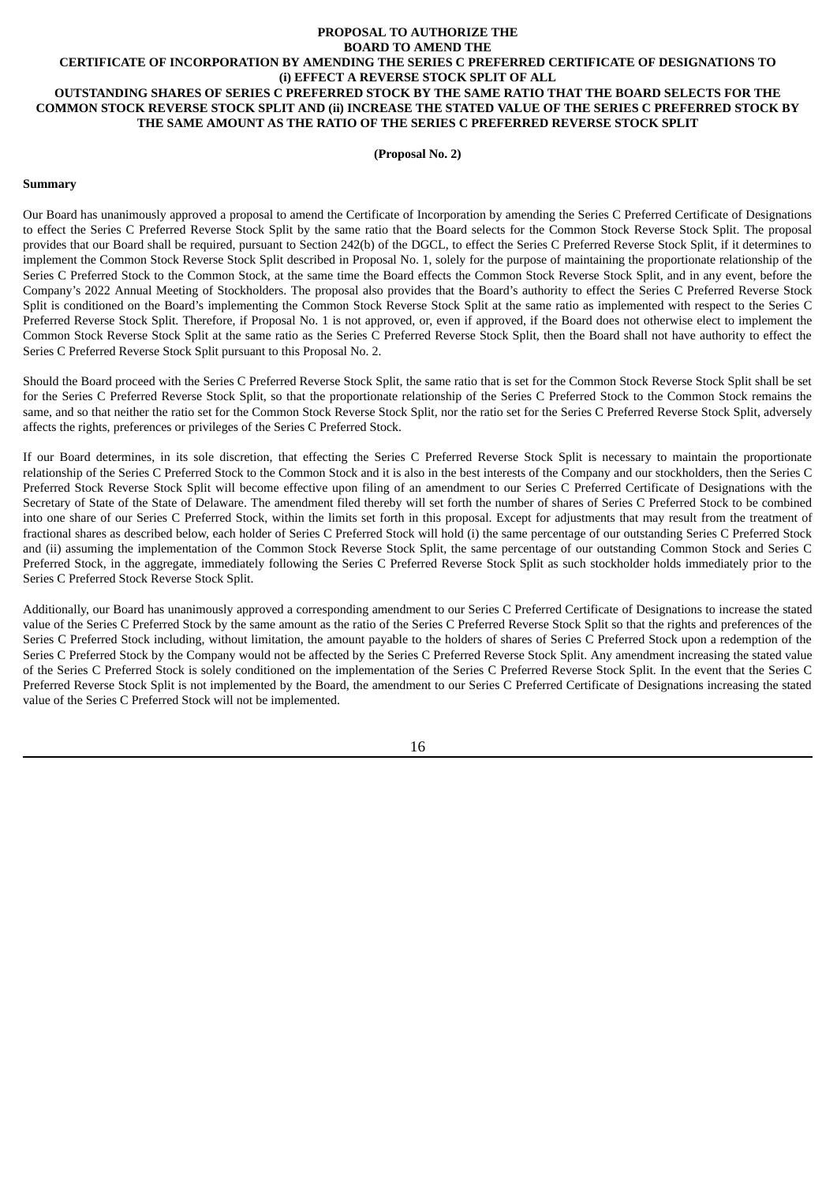#### <span id="page-19-0"></span>**PROPOSAL TO AUTHORIZE THE BOARD TO AMEND THE CERTIFICATE OF INCORPORATION BY AMENDING THE SERIES C PREFERRED CERTIFICATE OF DESIGNATIONS TO (i) EFFECT A REVERSE STOCK SPLIT OF ALL OUTSTANDING SHARES OF SERIES C PREFERRED STOCK BY THE SAME RATIO THAT THE BOARD SELECTS FOR THE** COMMON STOCK REVERSE STOCK SPLIT AND (ii) INCREASE THE STATED VALUE OF THE SERIES C PREFERRED STOCK BY **THE SAME AMOUNT AS THE RATIO OF THE SERIES C PREFERRED REVERSE STOCK SPLIT**

#### **(Proposal No. 2)**

#### <span id="page-19-1"></span>**Summary**

Our Board has unanimously approved a proposal to amend the Certificate of Incorporation by amending the Series C Preferred Certificate of Designations to effect the Series C Preferred Reverse Stock Split by the same ratio that the Board selects for the Common Stock Reverse Stock Split. The proposal provides that our Board shall be required, pursuant to Section 242(b) of the DGCL, to effect the Series C Preferred Reverse Stock Split, if it determines to implement the Common Stock Reverse Stock Split described in Proposal No. 1, solely for the purpose of maintaining the proportionate relationship of the Series C Preferred Stock to the Common Stock, at the same time the Board effects the Common Stock Reverse Stock Split, and in any event, before the Company's 2022 Annual Meeting of Stockholders. The proposal also provides that the Board's authority to effect the Series C Preferred Reverse Stock Split is conditioned on the Board's implementing the Common Stock Reverse Stock Split at the same ratio as implemented with respect to the Series C Preferred Reverse Stock Split. Therefore, if Proposal No. 1 is not approved, or, even if approved, if the Board does not otherwise elect to implement the Common Stock Reverse Stock Split at the same ratio as the Series C Preferred Reverse Stock Split, then the Board shall not have authority to effect the Series C Preferred Reverse Stock Split pursuant to this Proposal No. 2.

Should the Board proceed with the Series C Preferred Reverse Stock Split, the same ratio that is set for the Common Stock Reverse Stock Split shall be set for the Series C Preferred Reverse Stock Split, so that the proportionate relationship of the Series C Preferred Stock to the Common Stock remains the same, and so that neither the ratio set for the Common Stock Reverse Stock Split, nor the ratio set for the Series C Preferred Reverse Stock Split, adversely affects the rights, preferences or privileges of the Series C Preferred Stock.

If our Board determines, in its sole discretion, that effecting the Series C Preferred Reverse Stock Split is necessary to maintain the proportionate relationship of the Series C Preferred Stock to the Common Stock and it is also in the best interests of the Company and our stockholders, then the Series C Preferred Stock Reverse Stock Split will become effective upon filing of an amendment to our Series C Preferred Certificate of Designations with the Secretary of State of the State of Delaware. The amendment filed thereby will set forth the number of shares of Series C Preferred Stock to be combined into one share of our Series C Preferred Stock, within the limits set forth in this proposal. Except for adjustments that may result from the treatment of fractional shares as described below, each holder of Series C Preferred Stock will hold (i) the same percentage of our outstanding Series C Preferred Stock and (ii) assuming the implementation of the Common Stock Reverse Stock Split, the same percentage of our outstanding Common Stock and Series C Preferred Stock, in the aggregate, immediately following the Series C Preferred Reverse Stock Split as such stockholder holds immediately prior to the Series C Preferred Stock Reverse Stock Split.

Additionally, our Board has unanimously approved a corresponding amendment to our Series C Preferred Certificate of Designations to increase the stated value of the Series C Preferred Stock by the same amount as the ratio of the Series C Preferred Reverse Stock Split so that the rights and preferences of the Series C Preferred Stock including, without limitation, the amount payable to the holders of shares of Series C Preferred Stock upon a redemption of the Series C Preferred Stock by the Company would not be affected by the Series C Preferred Reverse Stock Split. Any amendment increasing the stated value of the Series C Preferred Stock is solely conditioned on the implementation of the Series C Preferred Reverse Stock Split. In the event that the Series C Preferred Reverse Stock Split is not implemented by the Board, the amendment to our Series C Preferred Certificate of Designations increasing the stated value of the Series C Preferred Stock will not be implemented.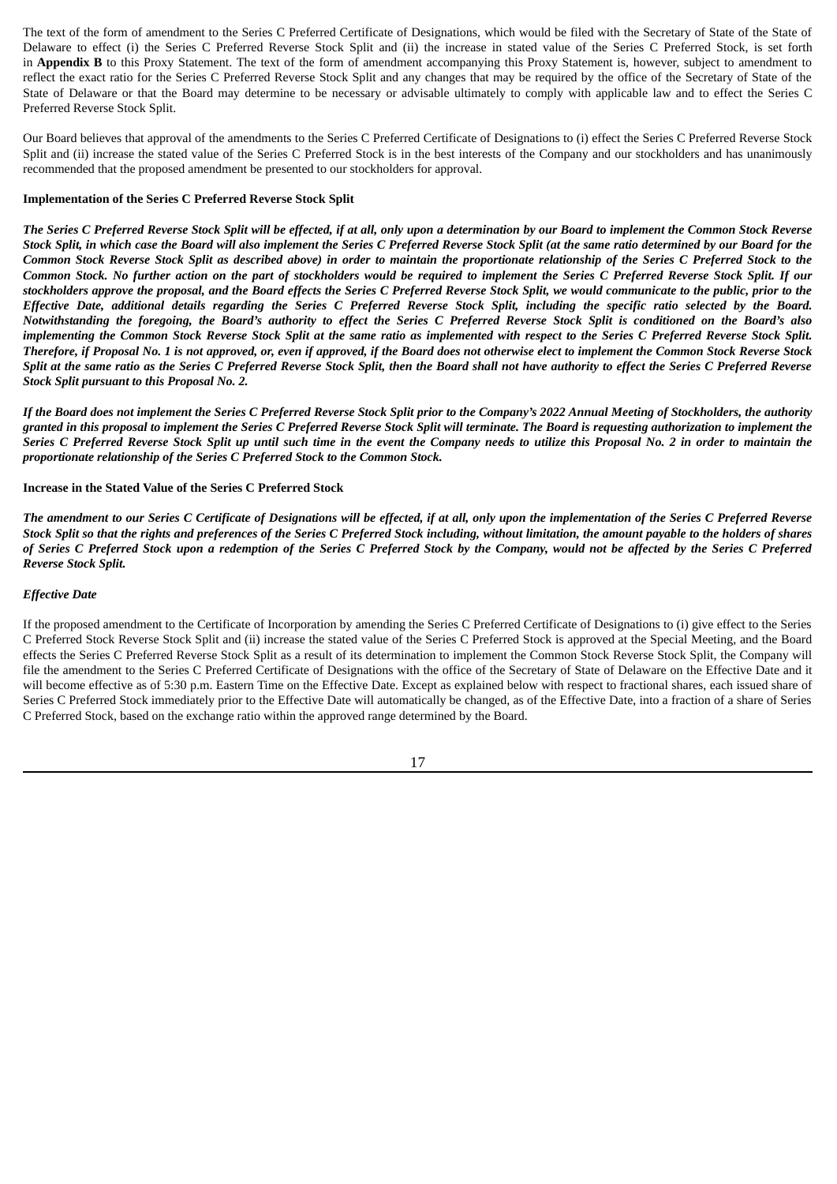The text of the form of amendment to the Series C Preferred Certificate of Designations, which would be filed with the Secretary of State of the State of Delaware to effect (i) the Series C Preferred Reverse Stock Split and (ii) the increase in stated value of the Series C Preferred Stock, is set forth in **Appendix B** to this Proxy Statement. The text of the form of amendment accompanying this Proxy Statement is, however, subject to amendment to reflect the exact ratio for the Series C Preferred Reverse Stock Split and any changes that may be required by the office of the Secretary of State of the State of Delaware or that the Board may determine to be necessary or advisable ultimately to comply with applicable law and to effect the Series C Preferred Reverse Stock Split.

Our Board believes that approval of the amendments to the Series C Preferred Certificate of Designations to (i) effect the Series C Preferred Reverse Stock Split and (ii) increase the stated value of the Series C Preferred Stock is in the best interests of the Company and our stockholders and has unanimously recommended that the proposed amendment be presented to our stockholders for approval.

### <span id="page-20-0"></span>**Implementation of the Series C Preferred Reverse Stock Split**

The Series C Preferred Reverse Stock Split will be effected, if at all, only upon a determination by our Board to implement the Common Stock Reverse Stock Split, in which case the Board will also implement the Series C Preferred Reverse Stock Split (at the same ratio determined by our Board for the Common Stock Reverse Stock Split as described above) in order to maintain the proportionate relationship of the Series C Preferred Stock to the Common Stock. No further action on the part of stockholders would be required to implement the Series C Preferred Reverse Stock Split. If our stockholders approve the proposal, and the Board effects the Series C Preferred Reverse Stock Split, we would communicate to the public, prior to the Effective Date, additional details regarding the Series C Preferred Reverse Stock Split, including the specific ratio selected by the Board. Notwithstanding the foregoing, the Board's authority to effect the Series C Preferred Reverse Stock Split is conditioned on the Board's also implementing the Common Stock Reverse Stock Split at the same ratio as implemented with respect to the Series C Preferred Reverse Stock Split. Therefore, if Proposal No. 1 is not approved, or, even if approved, if the Board does not otherwise elect to implement the Common Stock Reverse Stock Split at the same ratio as the Series C Preferred Reverse Stock Split, then the Board shall not have authority to effect the Series C Preferred Reverse *Stock Split pursuant to this Proposal No. 2.*

If the Board does not implement the Series C Preferred Reverse Stock Split prior to the Company's 2022 Annual Meeting of Stockholders, the authority granted in this proposal to implement the Series C Preferred Reverse Stock Split will terminate. The Board is requesting authorization to implement the Series C Preferred Reverse Stock Split up until such time in the event the Company needs to utilize this Proposal No. 2 in order to maintain the *proportionate relationship of the Series C Preferred Stock to the Common Stock.*

#### <span id="page-20-1"></span>**Increase in the Stated Value of the Series C Preferred Stock**

The amendment to our Series C Certificate of Designations will be effected, if at all, only upon the implementation of the Series C Preferred Reverse Stock Split so that the rights and preferences of the Series C Preferred Stock including, without limitation, the amount payable to the holders of shares of Series C Preferred Stock upon a redemption of the Series C Preferred Stock by the Company, would not be affected by the Series C Preferred *Reverse Stock Split.*

#### *Effective Date*

If the proposed amendment to the Certificate of Incorporation by amending the Series C Preferred Certificate of Designations to (i) give effect to the Series C Preferred Stock Reverse Stock Split and (ii) increase the stated value of the Series C Preferred Stock is approved at the Special Meeting, and the Board effects the Series C Preferred Reverse Stock Split as a result of its determination to implement the Common Stock Reverse Stock Split, the Company will file the amendment to the Series C Preferred Certificate of Designations with the office of the Secretary of State of Delaware on the Effective Date and it will become effective as of 5:30 p.m. Eastern Time on the Effective Date. Except as explained below with respect to fractional shares, each issued share of Series C Preferred Stock immediately prior to the Effective Date will automatically be changed, as of the Effective Date, into a fraction of a share of Series C Preferred Stock, based on the exchange ratio within the approved range determined by the Board.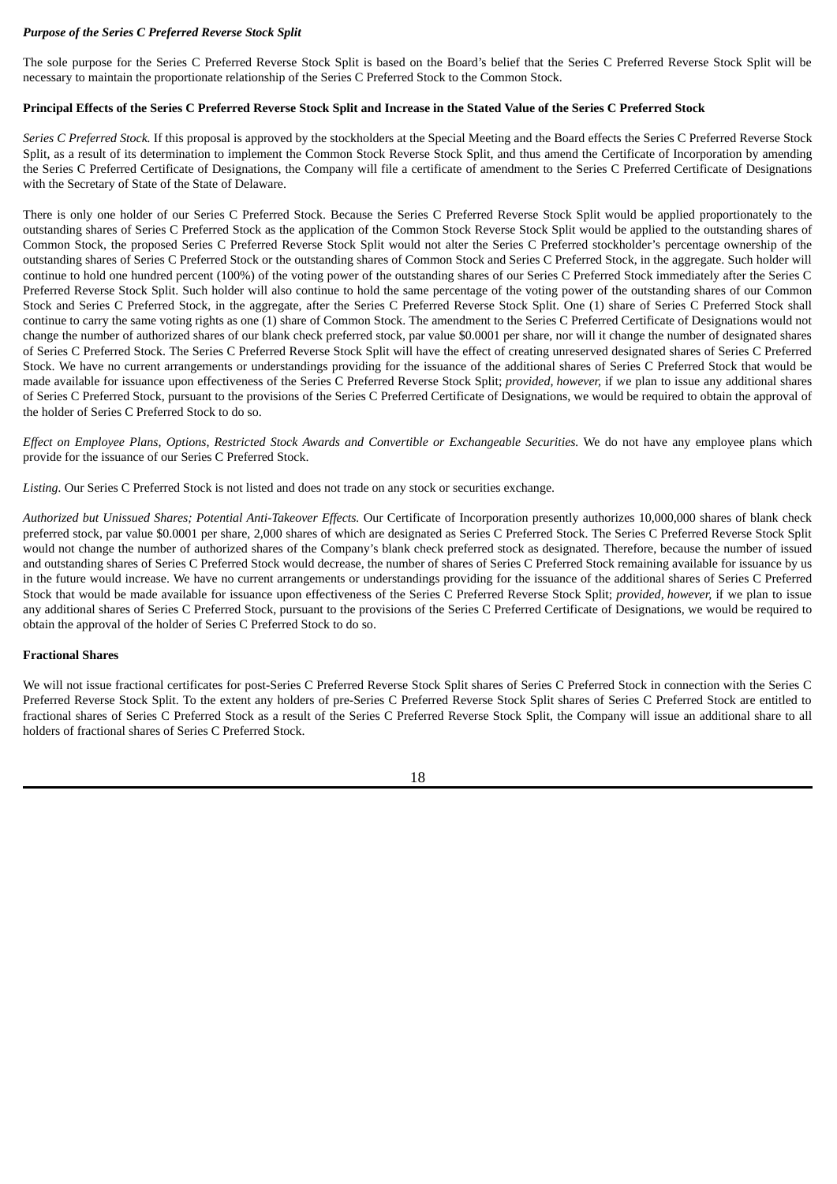# *Purpose of the Series C Preferred Reverse Stock Split*

The sole purpose for the Series C Preferred Reverse Stock Split is based on the Board's belief that the Series C Preferred Reverse Stock Split will be necessary to maintain the proportionate relationship of the Series C Preferred Stock to the Common Stock.

#### <span id="page-21-0"></span>Principal Effects of the Series C Preferred Reverse Stock Split and Increase in the Stated Value of the Series C Preferred Stock

*Series C Preferred Stock.* If this proposal is approved by the stockholders at the Special Meeting and the Board effects the Series C Preferred Reverse Stock Split, as a result of its determination to implement the Common Stock Reverse Stock Split, and thus amend the Certificate of Incorporation by amending the Series C Preferred Certificate of Designations, the Company will file a certificate of amendment to the Series C Preferred Certificate of Designations with the Secretary of State of the State of Delaware.

There is only one holder of our Series C Preferred Stock. Because the Series C Preferred Reverse Stock Split would be applied proportionately to the outstanding shares of Series C Preferred Stock as the application of the Common Stock Reverse Stock Split would be applied to the outstanding shares of Common Stock, the proposed Series C Preferred Reverse Stock Split would not alter the Series C Preferred stockholder's percentage ownership of the outstanding shares of Series C Preferred Stock or the outstanding shares of Common Stock and Series C Preferred Stock, in the aggregate. Such holder will continue to hold one hundred percent (100%) of the voting power of the outstanding shares of our Series C Preferred Stock immediately after the Series C Preferred Reverse Stock Split. Such holder will also continue to hold the same percentage of the voting power of the outstanding shares of our Common Stock and Series C Preferred Stock, in the aggregate, after the Series C Preferred Reverse Stock Split. One (1) share of Series C Preferred Stock shall continue to carry the same voting rights as one (1) share of Common Stock. The amendment to the Series C Preferred Certificate of Designations would not change the number of authorized shares of our blank check preferred stock, par value \$0.0001 per share, nor will it change the number of designated shares of Series C Preferred Stock. The Series C Preferred Reverse Stock Split will have the effect of creating unreserved designated shares of Series C Preferred Stock. We have no current arrangements or understandings providing for the issuance of the additional shares of Series C Preferred Stock that would be made available for issuance upon effectiveness of the Series C Preferred Reverse Stock Split; *provided, however,* if we plan to issue any additional shares of Series C Preferred Stock, pursuant to the provisions of the Series C Preferred Certificate of Designations, we would be required to obtain the approval of the holder of Series C Preferred Stock to do so.

Effect on Employee Plans, Options, Restricted Stock Awards and Convertible or Exchanaeable Securities. We do not have any employee plans which provide for the issuance of our Series C Preferred Stock.

*Listing.* Our Series C Preferred Stock is not listed and does not trade on any stock or securities exchange.

*Authorized but Unissued Shares; Potential Anti-Takeover Effects.* Our Certificate of Incorporation presently authorizes 10,000,000 shares of blank check preferred stock, par value \$0.0001 per share, 2,000 shares of which are designated as Series C Preferred Stock. The Series C Preferred Reverse Stock Split would not change the number of authorized shares of the Company's blank check preferred stock as designated. Therefore, because the number of issued and outstanding shares of Series C Preferred Stock would decrease, the number of shares of Series C Preferred Stock remaining available for issuance by us in the future would increase. We have no current arrangements or understandings providing for the issuance of the additional shares of Series C Preferred Stock that would be made available for issuance upon effectiveness of the Series C Preferred Reverse Stock Split; *provided, however,* if we plan to issue any additional shares of Series C Preferred Stock, pursuant to the provisions of the Series C Preferred Certificate of Designations, we would be required to obtain the approval of the holder of Series C Preferred Stock to do so.

### <span id="page-21-1"></span>**Fractional Shares**

We will not issue fractional certificates for post-Series C Preferred Reverse Stock Split shares of Series C Preferred Stock in connection with the Series C Preferred Reverse Stock Split. To the extent any holders of pre-Series C Preferred Reverse Stock Split shares of Series C Preferred Stock are entitled to fractional shares of Series C Preferred Stock as a result of the Series C Preferred Reverse Stock Split, the Company will issue an additional share to all holders of fractional shares of Series C Preferred Stock.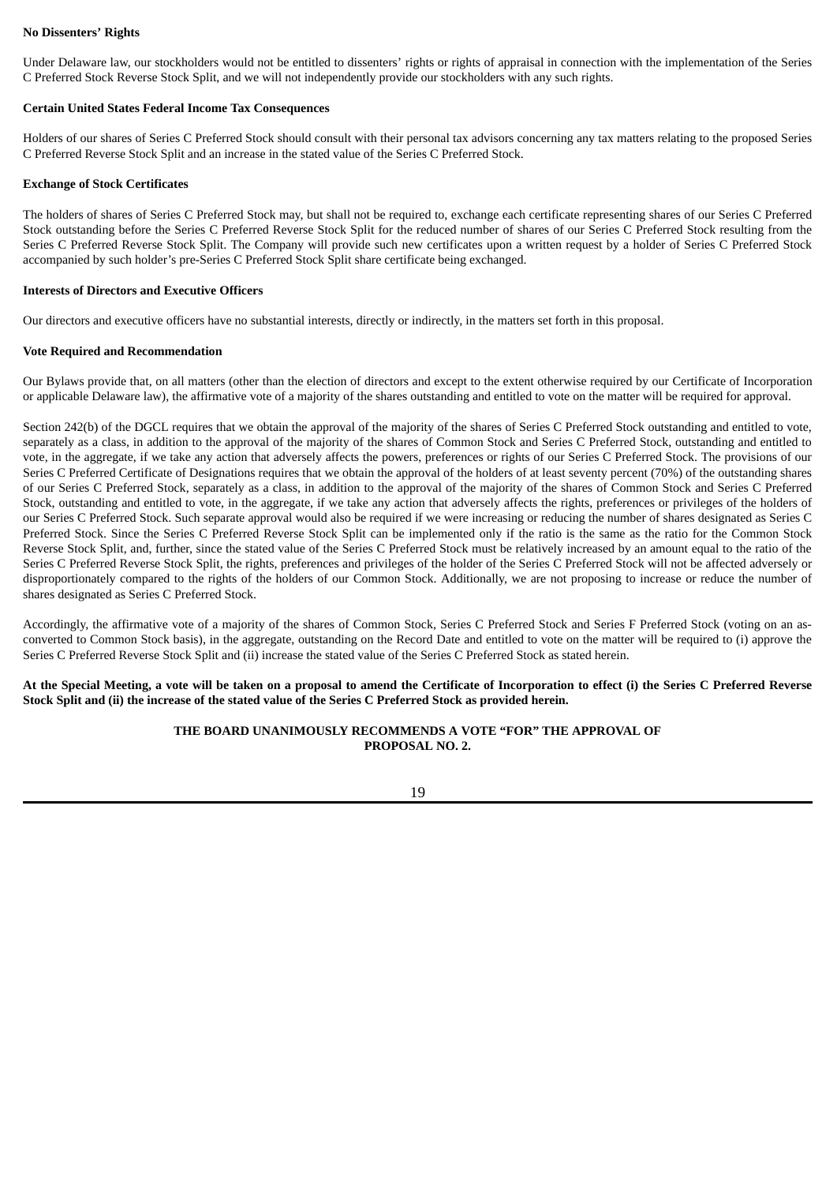# <span id="page-22-0"></span>**No Dissenters' Rights**

Under Delaware law, our stockholders would not be entitled to dissenters' rights or rights of appraisal in connection with the implementation of the Series C Preferred Stock Reverse Stock Split, and we will not independently provide our stockholders with any such rights.

#### <span id="page-22-1"></span>**Certain United States Federal Income Tax Consequences**

Holders of our shares of Series C Preferred Stock should consult with their personal tax advisors concerning any tax matters relating to the proposed Series C Preferred Reverse Stock Split and an increase in the stated value of the Series C Preferred Stock.

### <span id="page-22-2"></span>**Exchange of Stock Certificates**

The holders of shares of Series C Preferred Stock may, but shall not be required to, exchange each certificate representing shares of our Series C Preferred Stock outstanding before the Series C Preferred Reverse Stock Split for the reduced number of shares of our Series C Preferred Stock resulting from the Series C Preferred Reverse Stock Split. The Company will provide such new certificates upon a written request by a holder of Series C Preferred Stock accompanied by such holder's pre-Series C Preferred Stock Split share certificate being exchanged.

#### <span id="page-22-3"></span>**Interests of Directors and Executive Officers**

Our directors and executive officers have no substantial interests, directly or indirectly, in the matters set forth in this proposal.

#### <span id="page-22-4"></span>**Vote Required and Recommendation**

Our Bylaws provide that, on all matters (other than the election of directors and except to the extent otherwise required by our Certificate of Incorporation or applicable Delaware law), the affirmative vote of a majority of the shares outstanding and entitled to vote on the matter will be required for approval.

Section 242(b) of the DGCL requires that we obtain the approval of the majority of the shares of Series C Preferred Stock outstanding and entitled to vote, separately as a class, in addition to the approval of the majority of the shares of Common Stock and Series C Preferred Stock, outstanding and entitled to vote, in the aggregate, if we take any action that adversely affects the powers, preferences or rights of our Series C Preferred Stock. The provisions of our Series C Preferred Certificate of Designations requires that we obtain the approval of the holders of at least seventy percent (70%) of the outstanding shares of our Series C Preferred Stock, separately as a class, in addition to the approval of the majority of the shares of Common Stock and Series C Preferred Stock, outstanding and entitled to vote, in the aggregate, if we take any action that adversely affects the rights, preferences or privileges of the holders of our Series C Preferred Stock. Such separate approval would also be required if we were increasing or reducing the number of shares designated as Series C Preferred Stock. Since the Series C Preferred Reverse Stock Split can be implemented only if the ratio is the same as the ratio for the Common Stock Reverse Stock Split, and, further, since the stated value of the Series C Preferred Stock must be relatively increased by an amount equal to the ratio of the Series C Preferred Reverse Stock Split, the rights, preferences and privileges of the holder of the Series C Preferred Stock will not be affected adversely or disproportionately compared to the rights of the holders of our Common Stock. Additionally, we are not proposing to increase or reduce the number of shares designated as Series C Preferred Stock.

Accordingly, the affirmative vote of a majority of the shares of Common Stock, Series C Preferred Stock and Series F Preferred Stock (voting on an asconverted to Common Stock basis), in the aggregate, outstanding on the Record Date and entitled to vote on the matter will be required to (i) approve the Series C Preferred Reverse Stock Split and (ii) increase the stated value of the Series C Preferred Stock as stated herein.

At the Special Meeting, a vote will be taken on a proposal to amend the Certificate of Incorporation to effect (i) the Series C Preferred Reverse Stock Split and (ii) the increase of the stated value of the Series C Preferred Stock as provided herein.

# **THE BOARD UNANIMOUSLY RECOMMENDS A VOTE "FOR" THE APPROVAL OF PROPOSAL NO. 2.**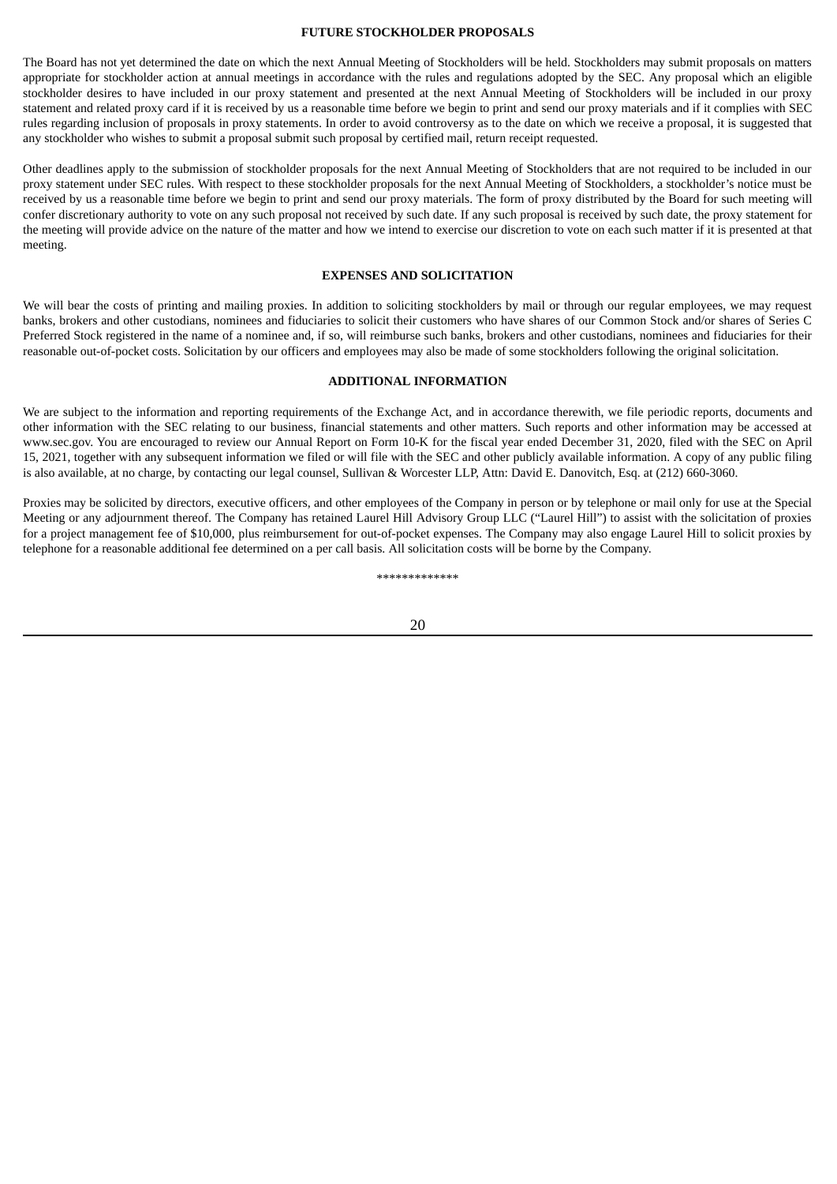#### **FUTURE STOCKHOLDER PROPOSALS**

<span id="page-23-0"></span>The Board has not yet determined the date on which the next Annual Meeting of Stockholders will be held. Stockholders may submit proposals on matters appropriate for stockholder action at annual meetings in accordance with the rules and regulations adopted by the SEC. Any proposal which an eligible stockholder desires to have included in our proxy statement and presented at the next Annual Meeting of Stockholders will be included in our proxy statement and related proxy card if it is received by us a reasonable time before we begin to print and send our proxy materials and if it complies with SEC rules regarding inclusion of proposals in proxy statements. In order to avoid controversy as to the date on which we receive a proposal, it is suggested that any stockholder who wishes to submit a proposal submit such proposal by certified mail, return receipt requested.

Other deadlines apply to the submission of stockholder proposals for the next Annual Meeting of Stockholders that are not required to be included in our proxy statement under SEC rules. With respect to these stockholder proposals for the next Annual Meeting of Stockholders, a stockholder's notice must be received by us a reasonable time before we begin to print and send our proxy materials. The form of proxy distributed by the Board for such meeting will confer discretionary authority to vote on any such proposal not received by such date. If any such proposal is received by such date, the proxy statement for the meeting will provide advice on the nature of the matter and how we intend to exercise our discretion to vote on each such matter if it is presented at that meeting.

#### **EXPENSES AND SOLICITATION**

<span id="page-23-1"></span>We will bear the costs of printing and mailing proxies. In addition to soliciting stockholders by mail or through our regular employees, we may request banks, brokers and other custodians, nominees and fiduciaries to solicit their customers who have shares of our Common Stock and/or shares of Series C Preferred Stock registered in the name of a nominee and, if so, will reimburse such banks, brokers and other custodians, nominees and fiduciaries for their reasonable out-of-pocket costs. Solicitation by our officers and employees may also be made of some stockholders following the original solicitation.

#### **ADDITIONAL INFORMATION**

<span id="page-23-2"></span>We are subject to the information and reporting requirements of the Exchange Act, and in accordance therewith, we file periodic reports, documents and other information with the SEC relating to our business, financial statements and other matters. Such reports and other information may be accessed at www.sec.gov. You are encouraged to review our Annual Report on Form 10-K for the fiscal year ended December 31, 2020, filed with the SEC on April 15, 2021, together with any subsequent information we filed or will file with the SEC and other publicly available information. A copy of any public filing is also available, at no charge, by contacting our legal counsel, Sullivan & Worcester LLP, Attn: David E. Danovitch, Esq. at (212) 660-3060.

Proxies may be solicited by directors, executive officers, and other employees of the Company in person or by telephone or mail only for use at the Special Meeting or any adjournment thereof. The Company has retained Laurel Hill Advisory Group LLC ("Laurel Hill") to assist with the solicitation of proxies for a project management fee of \$10,000, plus reimbursement for out-of-pocket expenses. The Company may also engage Laurel Hill to solicit proxies by telephone for a reasonable additional fee determined on a per call basis. All solicitation costs will be borne by the Company.

#### \*\*\*\*\*\*\*\*\*\*\*\*\*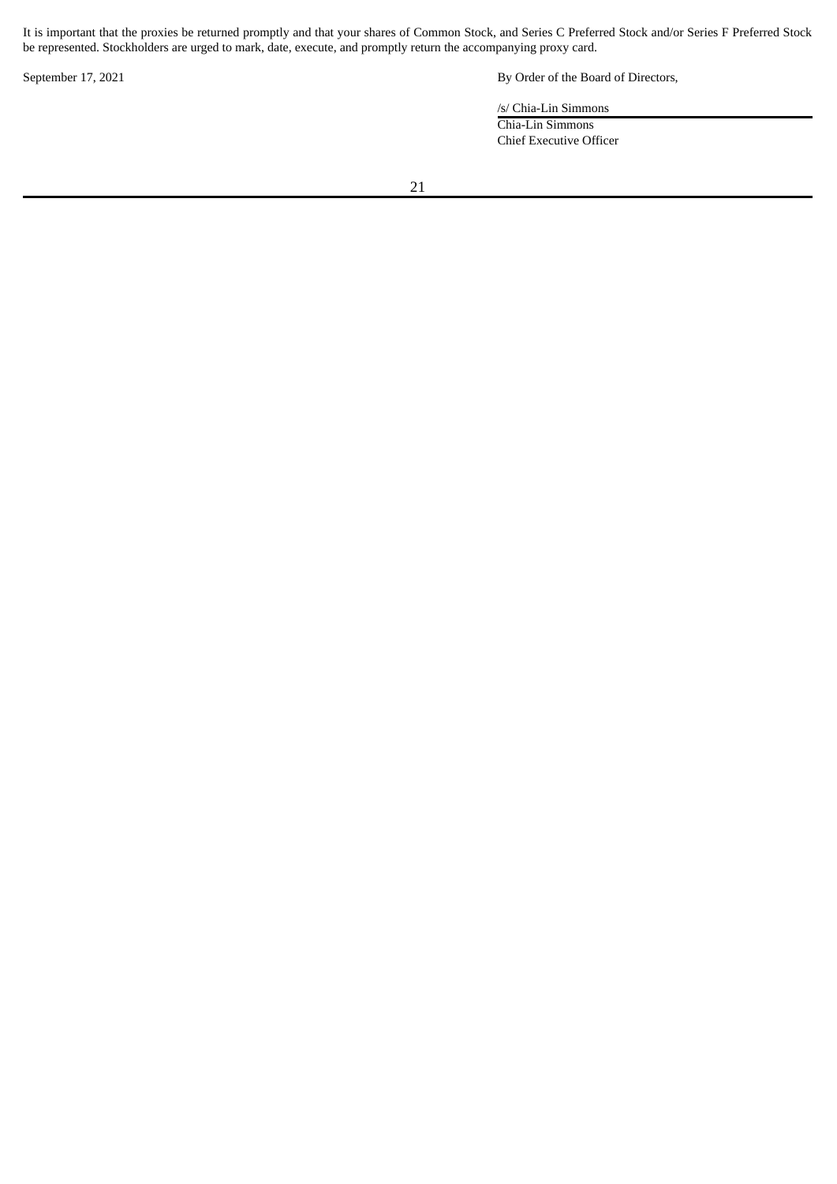It is important that the proxies be returned promptly and that your shares of Common Stock, and Series C Preferred Stock and/or Series F Preferred Stock be represented. Stockholders are urged to mark, date, execute, and promptly return the accompanying proxy card.

September 17, 2021 By Order of the Board of Directors,

/s/ Chia-Lin Simmons

Chia-Lin Simmons Chief Executive Officer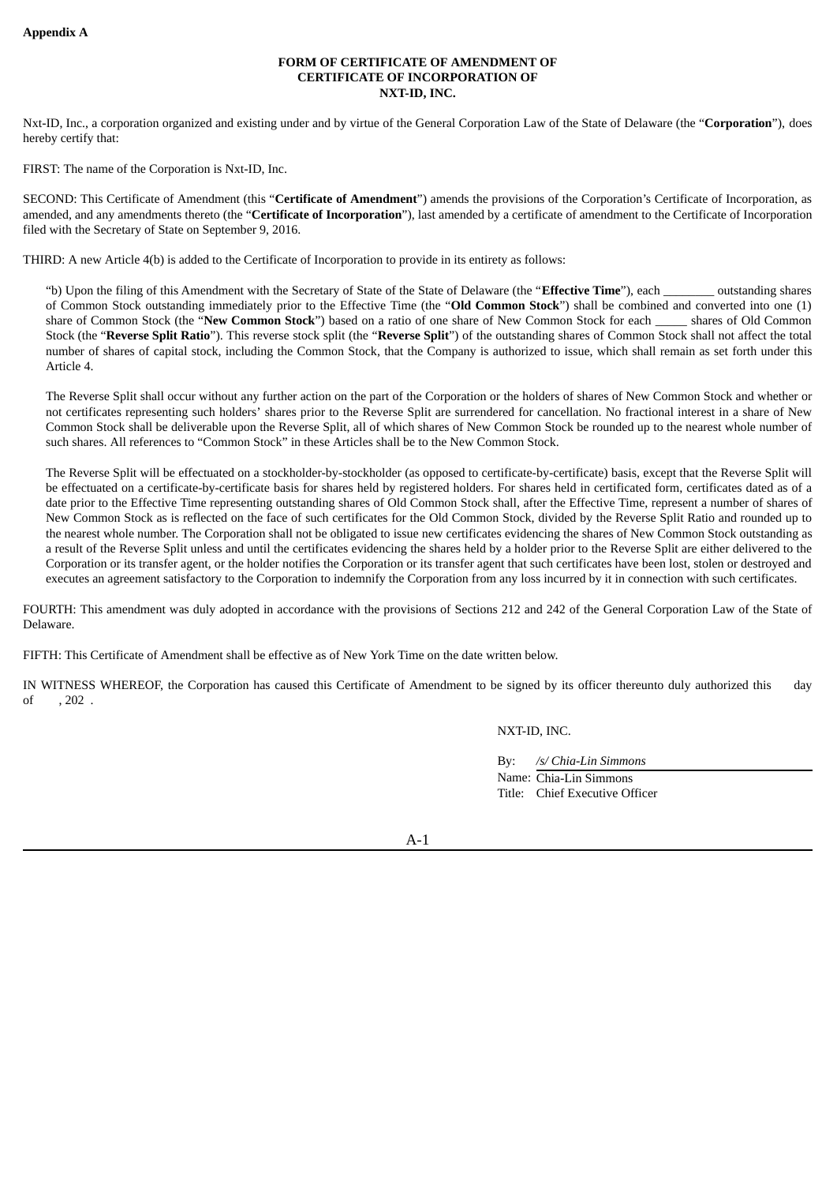#### **FORM OF CERTIFICATE OF AMENDMENT OF CERTIFICATE OF INCORPORATION OF NXT-ID, INC.**

<span id="page-25-0"></span>Nxt-ID, Inc., a corporation organized and existing under and by virtue of the General Corporation Law of the State of Delaware (the "**Corporation**"), does hereby certify that:

FIRST: The name of the Corporation is Nxt-ID, Inc.

SECOND: This Certificate of Amendment (this "**Certificate of Amendment**") amends the provisions of the Corporation's Certificate of Incorporation, as amended, and any amendments thereto (the "**Certificate of Incorporation**"), last amended by a certificate of amendment to the Certificate of Incorporation filed with the Secretary of State on September 9, 2016.

THIRD: A new Article 4(b) is added to the Certificate of Incorporation to provide in its entirety as follows:

"b) Upon the filing of this Amendment with the Secretary of State of the State of Delaware (the "**Effective Time**"), each \_\_\_\_\_\_\_\_ outstanding shares of Common Stock outstanding immediately prior to the Effective Time (the "**Old Common Stock**") shall be combined and converted into one (1) share of Common Stock (the "**New Common Stock**") based on a ratio of one share of New Common Stock for each \_\_\_\_\_ shares of Old Common Stock (the "**Reverse Split Ratio**"). This reverse stock split (the "**Reverse Split**") of the outstanding shares of Common Stock shall not affect the total number of shares of capital stock, including the Common Stock, that the Company is authorized to issue, which shall remain as set forth under this Article 4.

The Reverse Split shall occur without any further action on the part of the Corporation or the holders of shares of New Common Stock and whether or not certificates representing such holders' shares prior to the Reverse Split are surrendered for cancellation. No fractional interest in a share of New Common Stock shall be deliverable upon the Reverse Split, all of which shares of New Common Stock be rounded up to the nearest whole number of such shares. All references to "Common Stock" in these Articles shall be to the New Common Stock.

The Reverse Split will be effectuated on a stockholder-by-stockholder (as opposed to certificate-by-certificate) basis, except that the Reverse Split will be effectuated on a certificate-by-certificate basis for shares held by registered holders. For shares held in certificated form, certificates dated as of a date prior to the Effective Time representing outstanding shares of Old Common Stock shall, after the Effective Time, represent a number of shares of New Common Stock as is reflected on the face of such certificates for the Old Common Stock, divided by the Reverse Split Ratio and rounded up to the nearest whole number. The Corporation shall not be obligated to issue new certificates evidencing the shares of New Common Stock outstanding as a result of the Reverse Split unless and until the certificates evidencing the shares held by a holder prior to the Reverse Split are either delivered to the Corporation or its transfer agent, or the holder notifies the Corporation or its transfer agent that such certificates have been lost, stolen or destroyed and executes an agreement satisfactory to the Corporation to indemnify the Corporation from any loss incurred by it in connection with such certificates.

FOURTH: This amendment was duly adopted in accordance with the provisions of Sections 212 and 242 of the General Corporation Law of the State of Delaware.

FIFTH: This Certificate of Amendment shall be effective as of New York Time on the date written below.

IN WITNESS WHEREOF, the Corporation has caused this Certificate of Amendment to be signed by its officer thereunto duly authorized this day of , 202 .

NXT-ID, INC.

By: */s/ Chia-Lin Simmons* Name: Chia-Lin Simmons Title: Chief Executive Officer

A-1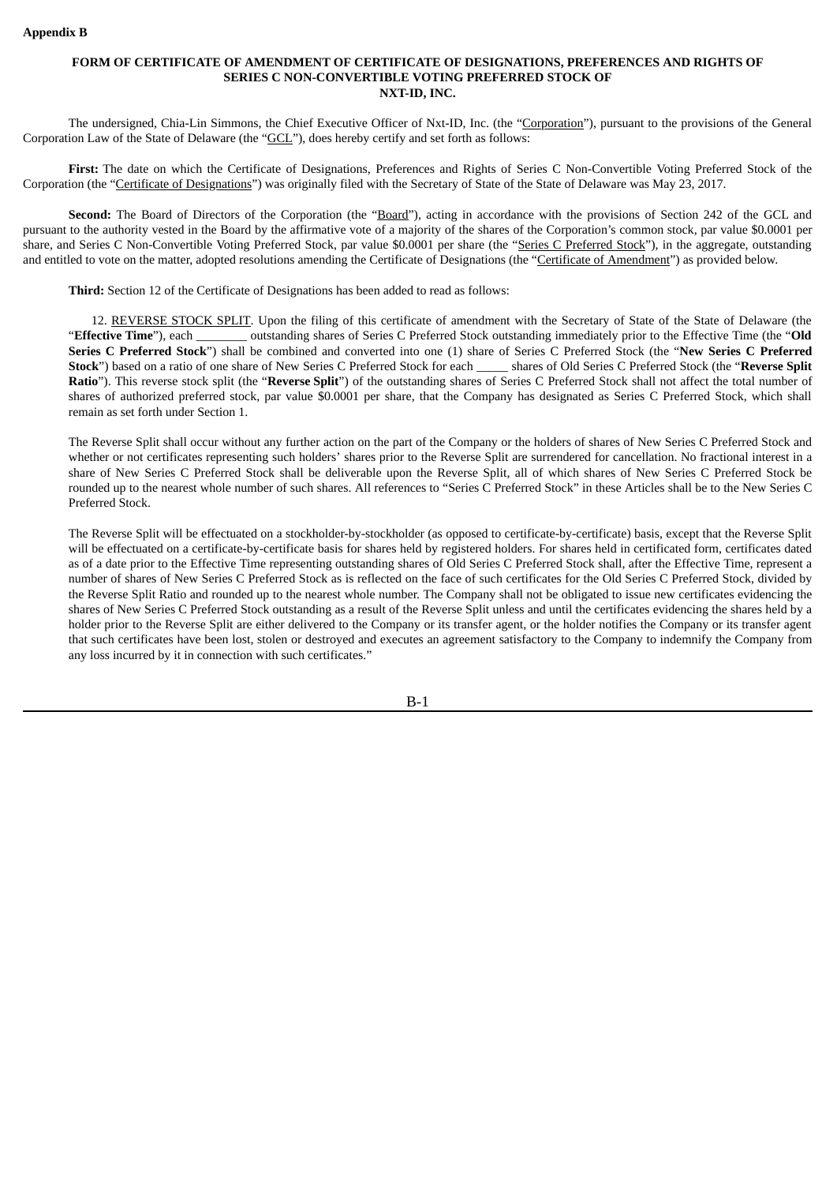#### <span id="page-26-0"></span>**FORM OF CERTIFICATE OF AMENDMENT OF CERTIFICATE OF DESIGNATIONS, PREFERENCES AND RIGHTS OF SERIES C NON-CONVERTIBLE VOTING PREFERRED STOCK OF NXT-ID, INC.**

The undersigned, Chia-Lin Simmons, the Chief Executive Officer of Nxt-ID, Inc. (the "Corporation"), pursuant to the provisions of the General Corporation Law of the State of Delaware (the "GCL"), does hereby certify and set forth as follows:

**First:** The date on which the Certificate of Designations, Preferences and Rights of Series C Non-Convertible Voting Preferred Stock of the Corporation (the "Certificate of Designations") was originally filed with the Secretary of State of the State of Delaware was May 23, 2017.

**Second:** The Board of Directors of the Corporation (the "Board"), acting in accordance with the provisions of Section 242 of the GCL and pursuant to the authority vested in the Board by the affirmative vote of a majority of the shares of the Corporation's common stock, par value \$0.0001 per share, and Series C Non-Convertible Voting Preferred Stock, par value \$0.0001 per share (the "Series C Preferred Stock"), in the aggregate, outstanding and entitled to vote on the matter, adopted resolutions amending the Certificate of Designations (the "Certificate of Amendment") as provided below.

**Third:** Section 12 of the Certificate of Designations has been added to read as follows:

12. REVERSE STOCK SPLIT. Upon the filing of this certificate of amendment with the Secretary of State of the State of Delaware (the "**Effective Time**"), each \_\_\_\_\_\_\_\_ outstanding shares of Series C Preferred Stock outstanding immediately prior to the Effective Time (the "**Old Series C Preferred Stock**") shall be combined and converted into one (1) share of Series C Preferred Stock (the "**New Series C Preferred Stock**") based on a ratio of one share of New Series C Preferred Stock for each \_\_\_\_\_ shares of Old Series C Preferred Stock (the "**Reverse Split Ratio**"). This reverse stock split (the "**Reverse Split**") of the outstanding shares of Series C Preferred Stock shall not affect the total number of shares of authorized preferred stock, par value \$0.0001 per share, that the Company has designated as Series C Preferred Stock, which shall remain as set forth under Section 1.

The Reverse Split shall occur without any further action on the part of the Company or the holders of shares of New Series C Preferred Stock and whether or not certificates representing such holders' shares prior to the Reverse Split are surrendered for cancellation. No fractional interest in a share of New Series C Preferred Stock shall be deliverable upon the Reverse Split, all of which shares of New Series C Preferred Stock be rounded up to the nearest whole number of such shares. All references to "Series C Preferred Stock" in these Articles shall be to the New Series C Preferred Stock.

The Reverse Split will be effectuated on a stockholder-by-stockholder (as opposed to certificate-by-certificate) basis, except that the Reverse Split will be effectuated on a certificate-by-certificate basis for shares held by registered holders. For shares held in certificated form, certificates dated as of a date prior to the Effective Time representing outstanding shares of Old Series C Preferred Stock shall, after the Effective Time, represent a number of shares of New Series C Preferred Stock as is reflected on the face of such certificates for the Old Series C Preferred Stock, divided by the Reverse Split Ratio and rounded up to the nearest whole number. The Company shall not be obligated to issue new certificates evidencing the shares of New Series C Preferred Stock outstanding as a result of the Reverse Split unless and until the certificates evidencing the shares held by a holder prior to the Reverse Split are either delivered to the Company or its transfer agent, or the holder notifies the Company or its transfer agent that such certificates have been lost, stolen or destroyed and executes an agreement satisfactory to the Company to indemnify the Company from any loss incurred by it in connection with such certificates."

B-1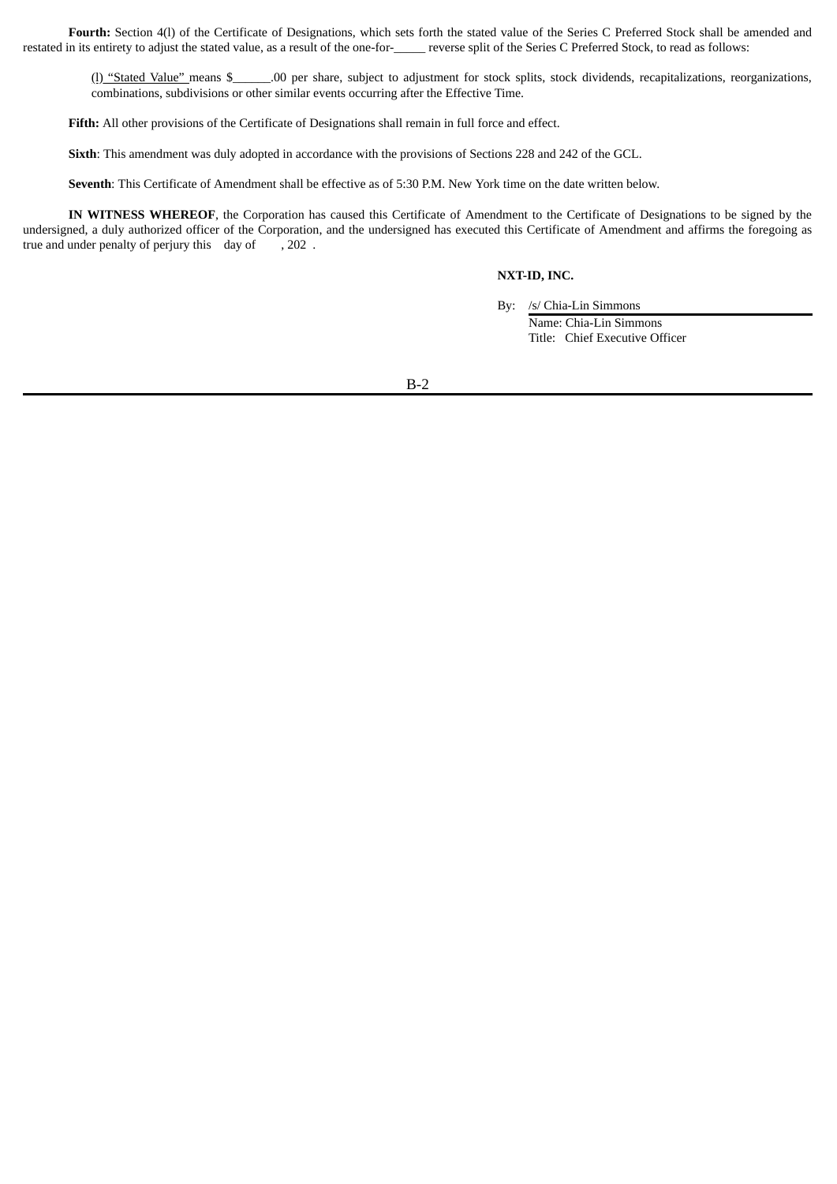**Fourth:** Section 4(l) of the Certificate of Designations, which sets forth the stated value of the Series C Preferred Stock shall be amended and restated in its entirety to adjust the stated value, as a result of the one-for-\_\_\_\_\_\_ reverse split of the Series C Preferred Stock, to read as follows:

(I) "Stated Value" means \$\_\_\_\_\_\_.00 per share, subject to adjustment for stock splits, stock dividends, recapitalizations, reorganizations, combinations, subdivisions or other similar events occurring after the Effective Time.

**Fifth:** All other provisions of the Certificate of Designations shall remain in full force and effect.

**Sixth**: This amendment was duly adopted in accordance with the provisions of Sections 228 and 242 of the GCL.

**Seventh**: This Certificate of Amendment shall be effective as of 5:30 P.M. New York time on the date written below.

**IN** WITNESS WHEREOF, the Corporation has caused this Certificate of Amendment to the Certificate of Designations to be signed by the undersigned, a duly authorized officer of the Corporation, and the undersigned has executed this Certificate of Amendment and affirms the foregoing as true and under penalty of perjury this day of , 202 .

#### **NXT-ID, INC.**

By: /s/ Chia-Lin Simmons Name: Chia-Lin Simmons Title: Chief Executive Officer

B-2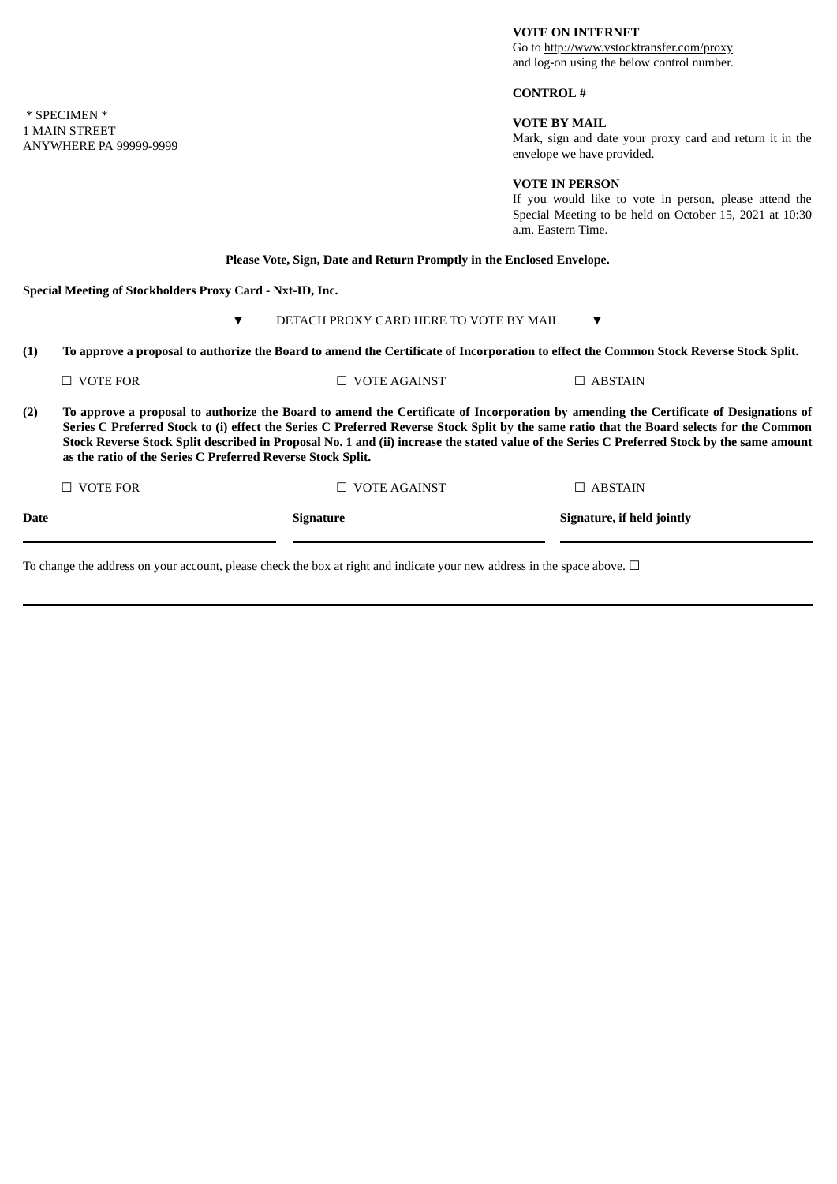### **VOTE ON INTERNET**

Go to http://www.vstocktransfer.com/proxy and log-on using the below control number.

# **CONTROL #**

# **VOTE BY MAIL**

Mark, sign and date your proxy card and return it in the envelope we have provided.

### **VOTE IN PERSON**

If you would like to vote in person, please attend the Special Meeting to be held on October 15, 2021 at 10:30 a.m. Eastern Time.

# **Please Vote, Sign, Date and Return Promptly in the Enclosed Envelope.**

**Special Meeting of Stockholders Proxy Card - Nxt-ID, Inc.**

# ▼ DETACH PROXY CARD HERE TO VOTE BY MAIL ▼

(1) To approve a proposal to authorize the Board to amend the Certificate of Incorporation to effect the Common Stock Reverse Stock Split.

| <b>Date</b> |                                                                                                                                                                                                                                                                                                                                                                                                                                                                                                  | Signature           | Signature, if held jointly |  |  |  |  |  |
|-------------|--------------------------------------------------------------------------------------------------------------------------------------------------------------------------------------------------------------------------------------------------------------------------------------------------------------------------------------------------------------------------------------------------------------------------------------------------------------------------------------------------|---------------------|----------------------------|--|--|--|--|--|
|             | $\Box$ vote for                                                                                                                                                                                                                                                                                                                                                                                                                                                                                  | $\Box$ VOTE AGAINST | $\Box$ ABSTAIN             |  |  |  |  |  |
| (2)         | To approve a proposal to authorize the Board to amend the Certificate of Incorporation by amending the Certificate of Designations of<br>Series C Preferred Stock to (i) effect the Series C Preferred Reverse Stock Split by the same ratio that the Board selects for the Common<br>Stock Reverse Stock Split described in Proposal No. 1 and (ii) increase the stated value of the Series C Preferred Stock by the same amount<br>as the ratio of the Series C Preferred Reverse Stock Split. |                     |                            |  |  |  |  |  |
|             | $\Box$ VOTE FOR                                                                                                                                                                                                                                                                                                                                                                                                                                                                                  | $\Box$ VOTE AGAINST | $\Box$ ABSTAIN             |  |  |  |  |  |

To change the address on your account, please check the box at right and indicate your new address in the space above. □

\* SPECIMEN \* 1 MAIN STREET ANYWHERE PA 99999-9999